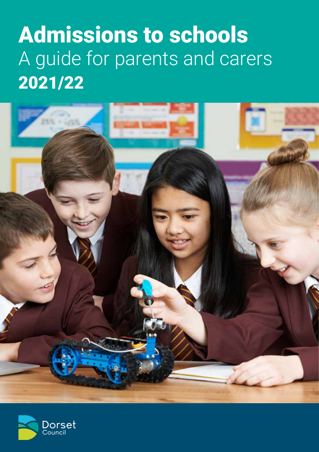# Admissions to schools A guide for parents and carers 2021/22



![](_page_0_Picture_2.jpeg)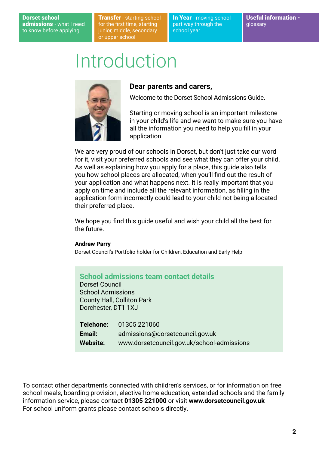#### Dorset school admissions - what I need to know before applying

**Transfer** - starting school for the first time, starting junior, middle, secondary or upper school

In Year - moving school part way through the school year

## Introduction

![](_page_1_Picture_5.jpeg)

#### **Dear parents and carers,**

Welcome to the Dorset School Admissions Guide.

Starting or moving school is an important milestone in your child's life and we want to make sure you have all the information you need to help you fill in your application.

We are very proud of our schools in Dorset, but don't just take our word for it, visit your preferred schools and see what they can offer your child. As well as explaining how you apply for a place, this guide also tells you how school places are allocated, when you'll find out the result of your application and what happens next. It is really important that you apply on time and include all the relevant information, as filling in the application form incorrectly could lead to your child not being allocated their preferred place.

We hope you find this quide useful and wish your child all the best for the future.

#### **Andrew Parry**

Dorset Council's Portfolio holder for Children, Education and Early Help

#### **School admissions team contact details**

Dorset Council School Admissions County Hall, Colliton Park Dorchester, DT1 1XJ

| Telehone:       | 01305 221060                               |
|-----------------|--------------------------------------------|
| Email:          | admissions@dorsetcouncil.gov.uk            |
| <b>Website:</b> | www.dorsetcouncil.gov.uk/school-admissions |

To contact other departments connected with children's services, or for information on free school meals, boarding provision, elective home education, extended schools and the family information service, please contact **01305 221000** or visit **www.dorsetcouncil.gov.uk** For school uniform grants please contact schools directly.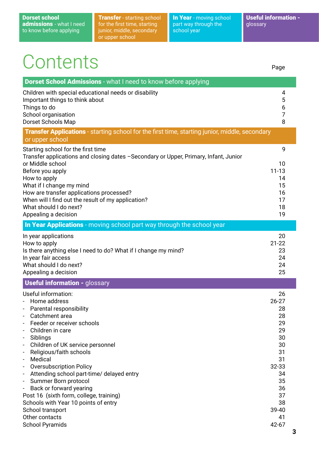**Transfer** - starting school for the first time, starting junior, middle, secondary or upper school

In Year - moving school part way through the school year

Useful information glossary

# **Contents**

**Dorset School Admissions** - what I need to know before applying Children with special educational needs or disability 4 Important things to think about 5  $\sim$  5  $\sim$  5  $\sim$  5  $\sim$  5  $\sim$  5  $\sim$  5  $\sim$  5  $\sim$  5  $\sim$  5  $\sim$  5  $\sim$  5  $\sim$  5  $\sim$  5  $\sim$  5  $\sim$  5  $\sim$  5  $\sim$  5  $\sim$  5  $\sim$  5  $\sim$  5  $\sim$  5  $\sim$  5  $\sim$  5  $\sim$  5  $\sim$  5  $\sim$  5  $\sim$  5 Things to do 6 the contract of the contract of the contract of the contract of the contract of the contract of the contract of the contract of the contract of the contract of the contract of the contract of the contract of School organisation 7 Dorset Schools Map 8 **Transfer Applications** - starting school for the first time, starting junior, middle, secondary or upper school Starting school for the first time 9 Transfer applications and closing dates –Secondary or Upper, Primary, Infant, Junior or Middle school and the state of the state of the state of the state of the state of the state of the state o Before you apply 11-13 How to apply the state of the state of the state of the state of the state of the state of the state of the state of the state of the state of the state of the state of the state of the state of the state of the state of t What if I change my mind 15 How are transfer applications processed? 16 When will I find out the result of my application? What should I do next? 2002 18 and 2008 18 and 2008 18 and 2008 18 and 2008 18 and 2008 18 and 2008 18 and 200 Appealing a decision and the set of the set of the set of the set of the set of the set of the set of the set of the set of the set of the set of the set of the set of the set of the set of the set of the set of the set of In Year Applications - moving school part way through the school year In year applications 20 How to apply 21-22 Is there anything else I need to do? What if I change my mind? 23 In year fair access 24 What should I do next? 24 Appealing a decision 25 **Useful information - glossary** Useful information: 26 - Home address 26-27 - Parental responsibility 28 - Catchment area 28 Feeder or receiver schools 29 - Children in care 29 - Siblings 30 - Children of UK service personnel 30 and 30 and 30 and 30 and 30 and 30 and 30 and 30 and 30 and 30 and 30 and 30 and 30 and 30 and 30 and 30 and 30 and 30 and 30 and 30 and 30 and 30 and 30 and 30 and 30 and 30 and 30 an - Religious/faith schools 31 - Medical 31 oversubscription Policy 32-33 - Attending school part-time/ delayed entry 34 - Summer Born protocol 35 **Back or forward yearing 36** and the set of the set of the set of the set of the set of the set of the set of the set of the set of the set of the set of the set of the set of the set of the set of the set of the set of th Post 16 (sixth form, college, training) 37 Schools with Year 10 points of entry 38 Page

School transport 39-40 Other contacts 41 School Pyramids 42-67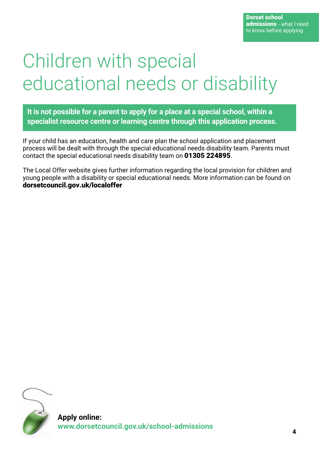# Children with special educational needs or disability

**It is not possible for a parent to apply for a place at a special school, within a specialist resource centre or learning centre through this application process.**

If your child has an education, health and care plan the school application and placement process will be dealt with through the special educational needs disability team. Parents must contact the special educational needs disability team on 01305 224895.

The Local Offer website gives further information regarding the local provision for children and young people with a disability or special educational needs. More information can be found on dorsetcouncil.gov.uk/localoffer

![](_page_3_Picture_5.jpeg)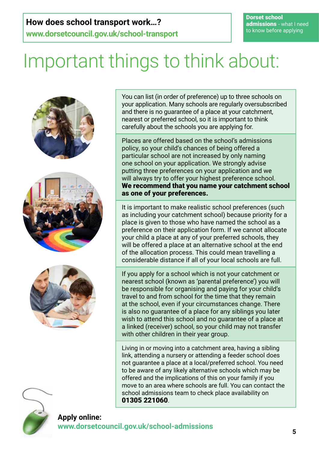## **How does school transport work…?**

**www.dorsetcouncil.gov.uk/school-transport**

Dorset school admissions - what I need to know before applying

# Important things to think about:

![](_page_4_Picture_4.jpeg)

You can list (in order of preference) up to three schools on your application. Many schools are regularly oversubscribed and there is no guarantee of a place at your catchment, nearest or preferred school, so it is important to think carefully about the schools you are applying for.

Places are offered based on the school's admissions policy, so your child's chances of being offered a particular school are not increased by only naming one school on your application. We strongly advise putting three preferences on your application and we will always try to offer your highest preference school. We recommend that you name your catchment school as one of your preferences.

It is important to make realistic school preferences (such as including your catchment school) because priority for a place is given to those who have named the school as a preference on their application form. If we cannot allocate your child a place at any of your preferred schools, they will be offered a place at an alternative school at the end of the allocation process. This could mean travelling a considerable distance if all of your local schools are full.

If you apply for a school which is not your catchment or nearest school (known as 'parental preference') you will be responsible for organising and paying for your child's travel to and from school for the time that they remain at the school, even if your circumstances change. There is also no guarantee of a place for any siblings you later wish to attend this school and no guarantee of a place at a linked (receiver) school, so your child may not transfer with other children in their year group.

Living in or moving into a catchment area, having a sibling link, attending a nursery or attending a feeder school does not guarantee a place at a local/preferred school. You need to be aware of any likely alternative schools which may be offered and the implications of this on your family if you move to an area where schools are full. You can contact the school admissions team to check place availability on 01305 221060.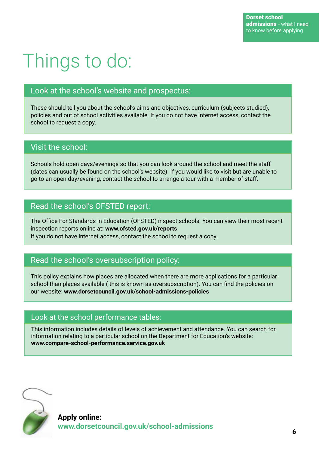# Things to do:

### Look at the school's website and prospectus:

These should tell you about the school's aims and objectives, curriculum (subjects studied), policies and out of school activities available. If you do not have internet access, contact the school to request a copy.

### Visit the school:

Schools hold open days/evenings so that you can look around the school and meet the staff (dates can usually be found on the school's website). If you would like to visit but are unable to go to an open day/evening, contact the school to arrange a tour with a member of staff.

### Read the school's OFSTED report:

The Office For Standards in Education (OFSTED) inspect schools. You can view their most recent inspection reports online at**: www.ofsted.gov.uk/reports** If you do not have internet access, contact the school to request a copy.

### Read the school's oversubscription policy:

This policy explains how places are allocated when there are more applications for a particular school than places available ( this is known as oversubscription). You can find the policies on our website: **www.dorsetcouncil.gov.uk/school-admissions-policies**

### Look at the school performance tables:

This information includes details of levels of achievement and attendance. You can search for information relating to a particular school on the Department for Education's website: **www.compare-school-performance.service.gov.uk**

![](_page_5_Picture_12.jpeg)

**Apply online: www.dorsetcouncil.gov.uk/school-admissions**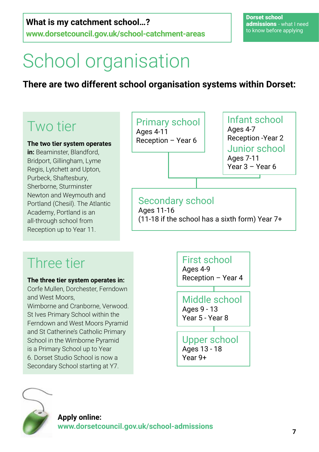## **What is my catchment school…?**

**www.dorsetcouncil.gov.uk/school-catchment-areas**

# School organisation

## **There are two different school organisation systems within Dorset:**

## Two tier

**The two tier system operates** 

**in:** Beaminster, Blandford, Bridport, Gillingham, Lyme Regis, Lytchett and Upton, Purbeck, Shaftesbury, Sherborne, Sturminster Newton and Weymouth and Portland (Chesil). The Atlantic Academy, Portland is an all-through school from Reception up to Year 11.

## Primary school

Ages 4-11 Reception – Year 6

Infant school Ages 4-7 Reception -Year 2 Junior school Ages 7-11 Year 3 – Year 6

## Secondary school

Ages 11-16 (11-18 if the school has a sixth form) Year 7+

## Three tier

**The three tier system operates in:**

Corfe Mullen, Dorchester, Ferndown and West Moors, Wimborne and Cranborne, Verwood. St Ives Primary School within the Ferndown and West Moors Pyramid and St Catherine's Catholic Primary School in the Wimborne Pyramid is a Primary School up to Year 6. Dorset Studio School is now a Secondary School starting at Y7.

![](_page_6_Figure_16.jpeg)

![](_page_6_Picture_17.jpeg)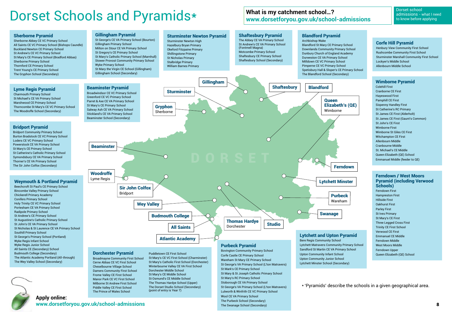\* 'Pyramids' describe the schools in a given geographical area.

### **Apply online: www.dorsetforyou.gov.uk/school-admissions**

admissions - what I need to know before applying

# Dorset Schools and Pyramids\* What is my catchment school...?

### **What is my catchment school…? www.dorsetforyou.gov.uk/school-admissions**

#### Beaminster Pyramid

Broadwindsor CE VC Primary School Greenford CE VC Primary School Parret & Axe CE VA Primary School St Mary's CE Primary School Salway Ash CE VA Primary School Stickland's CE VA Primary School Beaminster School (Secondary)

![](_page_7_Figure_12.jpeg)

St George's CE VA Primary School (Bourton) Gillingham Primary School Milton on Stour CE VA Primary School St Gregory's CE Primary School St Mary's Catholic Primary School (Marnhull) Stower Provost Community Primary School Wyke Primary School St Mary the Virgin CE School (Gillingham) Gillingham School (Secondary)

#### Bridport Pyramid

Bridport Community Primary School Burton Bradstock CE VC Primary School Loders CE VC Primary School Powerstock CE VA Primary School St Mary's CE Primary School St Catherine's Catholic Primary School Symondsbury CE VA Primary School Thorner's CE VA Primary School The Sir John Colfox (Secondary)

#### Sherborne Pyramid

Sherborne Abbey CE VC Primary School All Saints CE VC Primary School (Bishops Caundle) Buckland Newton CE Primary School St Andrew's CE VC Primary School St Mary's CE Primary School (Bradford Abbas) Sherborne Primary School Thornford CE Primary School Trent Young's CE Primary School The Gryphon School (Secondary)

#### Lyme Regis Pyramid

Charmouth Primary School St Michael's CE VA Primary School Marshwood CE Primary School Thorncombe St Mary's CE VC Primary School The Woodroffe School (Secondary)

#### Weymouth & Portland Pyramid

Beechcroft St Paul's CE Primary School Bincombe Valley Primary School Chickerell Primary Academy Conifers Primary School Holy Trinity CE VC Primary School Portesham CE VA Primary School Radipole Primary School St Andrew's CE Primary School St Augustine's Catholic Primary School St John's CE VA Primary School St Nicholas & St Laurence CE VA Primary School Southill Primary School St George's Primary School (Portland) Wyke Regis Infant School Wyke Regis Junior School All Saints CE (Secondary) School Budmouth College (Secondary) The Atlantic Academy Portland (All-through) The Wey Valley School (Secondary)

![](_page_7_Picture_10.jpeg)

### Dorchester Pyramid

Broadmayne Community First School Cerne Abbas CE VC First School Cheselbourne Village School Damers Community First School Frome Valley CE First School Manor Park CE VC First School Milborne St Andrew First School Piddle Valley CE First School The Prince of Wales School

Puddletown CE First School St Mary's CE VC First School (Charminster) St Mary's Catholic First School (Dorchester) Winterbourne Valley CE VA First School Dorchester Middle School St Mary's CE Middle School St Osmund's CE Middle School The Thomas Hardye School (Upper) The Dorset Studio School (Secondary) (point of entry is Year 7)

![](_page_7_Figure_14.jpeg)

Sturminster Newton High Hazelbury Bryan Primary Okeford Fitzpaine Primary Shillingstone Primary St Nicholas Primary Stalbridge Primary William Barnes Primary

#### Shaftesbury Pyramid The Abbey CE VA Primary School

St Andrew's CE VA Primary School (Fontmell Magna) Motcombe Primary School Shaftesbury CE Primary School Shaftesbury School (Secondary)

#### Blandford Pyramid

Archbishop Wake Blandford St Mary CE Primary School Downlands Community Primary School Dunbury Church of England Academy Durweston CE VA Primary School Milldown CE VC Primary School Pimperne CE VC Primary School Spetisbury Hall & Sloper's CE Primary School The Blandford School (Secondary)

#### Corfe Hill Pyramid

Henbury View Community First School Rushcombe Community First School Sturminster Marshall Community First School Lockyer's Middle School Allenbourn Middle School

#### Wimborne Pyramid

Colehill First Cranborne CE First Hayeswood First Pamphill CE First Sixpenny Handley First St Catherine's RC Primary St James CE First (Alderholt) St James CE First (Gaunt's Common) St John's CE First Wimborne First Wimborne St Giles CE First Witchampton CE First Allenbourn Middle Cranbourne Middle St. Michael's CE Middle Queen Elizabeth (QE) School Emmanuel Middle (feeder to QE)

#### Purbeck Pyramid

Bovington Community Primary School Corfe Castle CE Primary School Wareham St Mary CE Primary School St George's VA Primary School (L'ton Matravers) St Mark's CE Primary School St Mary & St Joseph Catholic Primary School St Mary's RC Primary School Stoborough CE VA Primary School St George's VA Primary School (L'ton Matravers) Lulworth & Winfrith CE VC Primary School Wool CE VA Primary School The Purbeck School (Secondary) The Swanage School (Secondary)

Sandford St Martin CE VA Primary School Upton Community Infant School Upton Community Junior School Lytchett Minster School (Secondary)

![](_page_7_Figure_22.jpeg)

#### Ferndown / West Moors Pyramid (including Verwood Schools)

Ferndown First Hampreston First Hillside First Oakhurst First Parley First St Ives Primary St Mary's CE First Three Legged Cross First Trinity CE First School Verwood CE First Emmanuel CE Middle Ferndown Middle West Moors Middle Ferndown Upper Queen Elizabeth (QE) School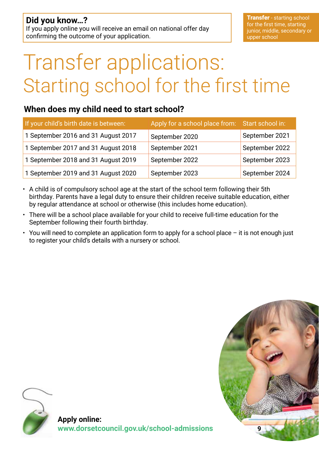# Transfer applications: Starting school for the first time

### **When does my child need to start school?**

| If your child's birth date is between: | Apply for a school place from: Start school in: |                |
|----------------------------------------|-------------------------------------------------|----------------|
| 1 September 2016 and 31 August 2017    | September 2020                                  | September 2021 |
| 1 September 2017 and 31 August 2018    | September 2021                                  | September 2022 |
| 1 September 2018 and 31 August 2019    | September 2022                                  | September 2023 |
| 1 September 2019 and 31 August 2020    | September 2023                                  | September 2024 |

- A child is of compulsory school age at the start of the school term following their 5th birthday. Parents have a legal duty to ensure their children receive suitable education, either by regular attendance at school or otherwise (this includes home education).
- There will be a school place available for your child to receive full-time education for the September following their fourth birthday.
- You will need to complete an application form to apply for a school place it is not enough just to register your child's details with a nursery or school.

![](_page_8_Picture_8.jpeg)

![](_page_8_Picture_9.jpeg)

**Apply online: www.dorsetcouncil.gov.uk/school-admissions**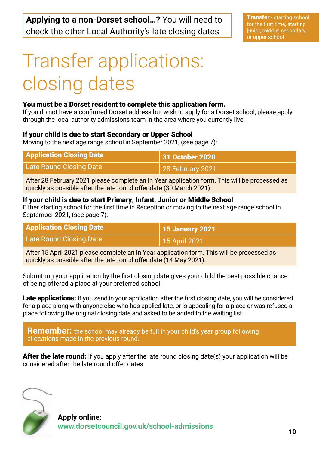# Transfer applications: closing dates

#### You must be a Dorset resident to complete this application form.

If you do not have a confirmed Dorset address but wish to apply for a Dorset school, please apply through the local authority admissions team in the area where you currently live.

#### If your child is due to start Secondary or Upper School

Moving to the next age range school in September 2021, (see page 7):

| <b>Application Closing Date</b> | 31 October 2020          |
|---------------------------------|--------------------------|
| Late Round Closing Date         | $\vert$ 28 February 2021 |

After 28 February 2021 please complete an In Year application form. This will be processed as quickly as possible after the late round offer date (30 March 2021).

#### If your child is due to start Primary, Infant, Junior or Middle School

Either starting school for the first time in Reception or moving to the next age range school in September 2021, (see page 7):

| <b>Application Closing Date</b> | <b>15 January 2021</b> |
|---------------------------------|------------------------|
| Late Round Closing Date         | 15 April 2021          |

After 15 April 2021 please complete an In Year application form. This will be processed as quickly as possible after the late round offer date (14 May 2021).

Submitting your application by the first closing date gives your child the best possible chance of being offered a place at your preferred school.

Late applications: If you send in your application after the first closing date, you will be considered for a place along with anyone else who has applied late, or is appealing for a place or was refused a place following the original closing date and asked to be added to the waiting list.

**Remember:** the school may already be full in your child's year group following allocations made in the previous round.

**After the late round:** If you apply after the late round closing date(s) your application will be considered after the late round offer dates.

![](_page_9_Picture_17.jpeg)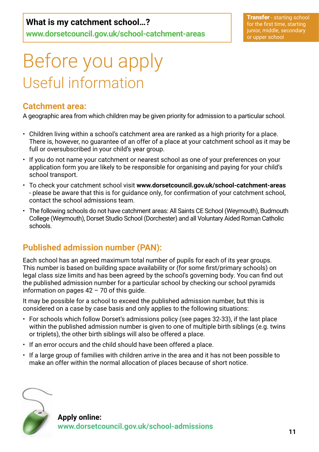## **What is my catchment school…?**

**www.dorsetcouncil.gov.uk/school-catchment-areas**

**Transfer** - starting school for the first time, starting junior, middle, secondary or upper school

# Before you apply Useful information

### **Catchment area:**

A geographic area from which children may be given priority for admission to a particular school.

- Children living within a school's catchment area are ranked as a high priority for a place. There is, however, no guarantee of an offer of a place at your catchment school as it may be full or oversubscribed in your child's year group.
- If you do not name your catchment or nearest school as one of your preferences on your application form you are likely to be responsible for organising and paying for your child's school transport.
- To check your catchment school visit **www.dorsetcouncil.gov.uk/school-catchment-areas** - please be aware that this is for guidance only, for confirmation of your catchment school, contact the school admissions team.
- The following schools do not have catchment areas: All Saints CE School (Weymouth), Budmouth College (Weymouth), Dorset Studio School (Dorchester) and all Voluntary Aided Roman Catholic schools.

## **Published admission number (PAN):**

Each school has an agreed maximum total number of pupils for each of its year groups. This number is based on building space availability or (for some first/primary schools) on legal class size limits and has been agreed by the school's governing body. You can find out the published admission number for a particular school by checking our school pyramids information on pages  $42 - 70$  of this guide.

It may be possible for a school to exceed the published admission number, but this is considered on a case by case basis and only applies to the following situations:

- For schools which follow Dorset's admissions policy (see pages 32-33), if the last place within the published admission number is given to one of multiple birth siblings (e.g. twins or triplets), the other birth siblings will also be offered a place.
- If an error occurs and the child should have been offered a place.
- If a large group of families with children arrive in the area and it has not been possible to make an offer within the normal allocation of places because of short notice.

![](_page_10_Picture_16.jpeg)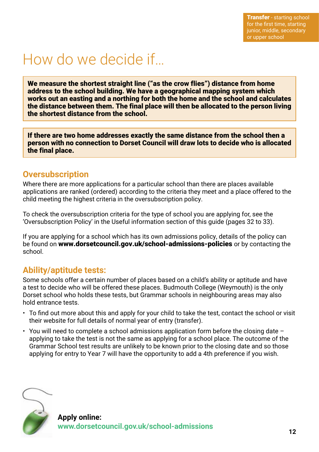## How do we decide if…

We measure the shortest straight line ("as the crow flies") distance from home address to the school building. We have a geographical mapping system which works out an easting and a northing for both the home and the school and calculates the distance between them. The final place will then be allocated to the person living the shortest distance from the school.

If there are two home addresses exactly the same distance from the school then a person with no connection to Dorset Council will draw lots to decide who is allocated the final place.

### **Oversubscription**

Where there are more applications for a particular school than there are places available applications are ranked (ordered) according to the criteria they meet and a place offered to the child meeting the highest criteria in the oversubscription policy.

To check the oversubscription criteria for the type of school you are applying for, see the 'Oversubscription Policy' in the Useful information section of this guide (pages 32 to 33).

If you are applying for a school which has its own admissions policy, details of the policy can be found on www.dorsetcouncil.gov.uk/school-admissions-policies or by contacting the school.

### **Ability/aptitude tests:**

Some schools offer a certain number of places based on a child's ability or aptitude and have a test to decide who will be offered these places. Budmouth College (Weymouth) is the only Dorset school who holds these tests, but Grammar schools in neighbouring areas may also hold entrance tests.

- To find out more about this and apply for your child to take the test, contact the school or visit their website for full details of normal year of entry (transfer).
- You will need to complete a school admissions application form before the closing date applying to take the test is not the same as applying for a school place. The outcome of the Grammar School test results are unlikely to be known prior to the closing date and so those applying for entry to Year 7 will have the opportunity to add a 4th preference if you wish.

![](_page_11_Picture_12.jpeg)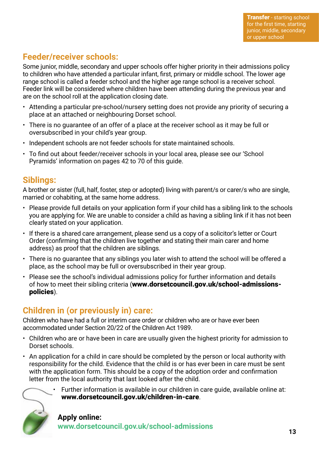## **Feeder/receiver schools:**

Some junior, middle, secondary and upper schools offer higher priority in their admissions policy to children who have attended a particular infant, first, primary or middle school. The lower age range school is called a feeder school and the higher age range school is a receiver school. Feeder link will be considered where children have been attending during the previous year and are on the school roll at the application closing date.

- Attending a particular pre-school/nursery setting does not provide any priority of securing a place at an attached or neighbouring Dorset school.
- There is no guarantee of an offer of a place at the receiver school as it may be full or oversubscribed in your child's year group.
- Independent schools are not feeder schools for state maintained schools.
- To find out about feeder/receiver schools in your local area, please see our 'School Pyramids' information on pages 42 to 70 of this guide.

### **Siblings:**

A brother or sister (full, half, foster, step or adopted) living with parent/s or carer/s who are single, married or cohabiting, at the same home address.

- Please provide full details on your application form if your child has a sibling link to the schools you are applying for. We are unable to consider a child as having a sibling link if it has not been clearly stated on your application.
- If there is a shared care arrangement, please send us a copy of a solicitor's letter or Court Order (confirming that the children live together and stating their main carer and home address) as proof that the children are siblings.
- There is no guarantee that any siblings you later wish to attend the school will be offered a place, as the school may be full or oversubscribed in their year group.
- Please see the school's individual admissions policy for further information and details of how to meet their sibling criteria (www.dorsetcouncil.gov.uk/school-admissionspolicies).

## **Children in (or previously in) care:**

Children who have had a full or interim care order or children who are or have ever been accommodated under Section 20/22 of the Children Act 1989.

- Children who are or have been in care are usually given the highest priority for admission to Dorset schools.
- An application for a child in care should be completed by the person or local authority with responsibility for the child. Evidence that the child is or has ever been in care must be sent with the application form. This should be a copy of the adoption order and confirmation letter from the local authority that last looked after the child.

![](_page_12_Picture_17.jpeg)

• Further information is available in our children in care guide, available online at: www.dorsetcouncil.gov.uk/children-in-care.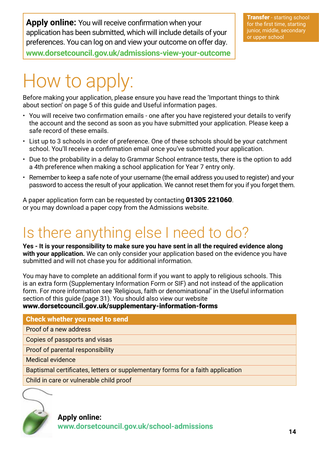**Apply online:** You will receive confirmation when your application has been submitted, which will include details of your preferences. You can log on and view your outcome on offer day.

**www.dorsetcouncil.gov.uk/admissions-view-your-outcome**

# How to apply:

Before making your application, please ensure you have read the 'Important things to think about section' on page 5 of this guide and Useful information pages.

- You will receive two confirmation emails one after you have registered your details to verify the account and the second as soon as you have submitted your application. Please keep a safe record of these emails.
- List up to 3 schools in order of preference. One of these schools should be your catchment school. You'll receive a confirmation email once you've submitted your application.
- Due to the probability in a delay to Grammar School entrance tests, there is the option to add a 4th preference when making a school application for Year 7 entry only.
- Remember to keep a safe note of your username (the email address you used to register) and your password to access the result of your application. We cannot reset them for you if you forget them.

A paper application form can be requested by contacting 01305 221060. or you may download a paper copy from the Admissions website.

## Is there anything else I need to do?

**Yes - It is your responsibility to make sure you have sent in all the required evidence along with your application.** We can only consider your application based on the evidence you have submitted and will not chase you for additional information.

You may have to complete an additional form if you want to apply to religious schools. This is an extra form (Supplementary Information Form or SIF) and not instead of the application form. For more information see 'Religious, faith or denominational' in the Useful information section of this guide (page 31). You should also view our website www.dorsetcouncil.gov.uk/supplementary-information-forms

#### Check whether you need to send

Proof of a new address

Copies of passports and visas

Proof of parental responsibility

Medical evidence

Baptismal certificates, letters or supplementary forms for a faith application

Child in care or vulnerable child proof

![](_page_13_Picture_20.jpeg)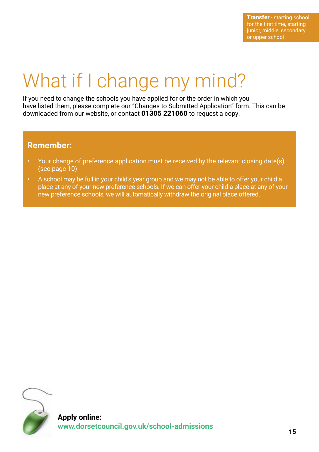# What if I change my mind?

If you need to change the schools you have applied for or the order in which you have listed them, please complete our "Changes to Submitted Application" form. This can be downloaded from our website, or contact 01305 221060 to request a copy.

### **Remember:**

- Your change of preference application must be received by the relevant closing date(s) (see page 10)
- A school may be full in your child's year group and we may not be able to offer your child a place at any of your new preference schools. If we can offer your child a place at any of your new preference schools, we will automatically withdraw the original place offered.

![](_page_14_Picture_6.jpeg)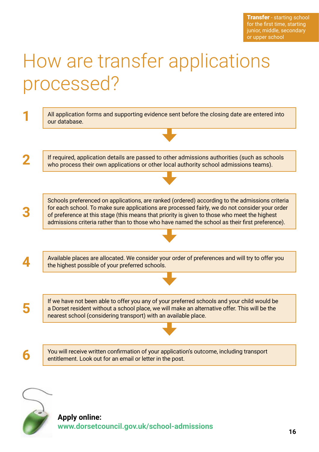# How are transfer applications processed?

| All application forms and supporting evidence sent before the closing date are entered into<br>our database.                                                                                                                                                                                                                                                                                       |
|----------------------------------------------------------------------------------------------------------------------------------------------------------------------------------------------------------------------------------------------------------------------------------------------------------------------------------------------------------------------------------------------------|
|                                                                                                                                                                                                                                                                                                                                                                                                    |
| If required, application details are passed to other admissions authorities (such as schools<br>who process their own applications or other local authority school admissions teams).                                                                                                                                                                                                              |
|                                                                                                                                                                                                                                                                                                                                                                                                    |
| Schools preferenced on applications, are ranked (ordered) according to the admissions criteria<br>for each school. To make sure applications are processed fairly, we do not consider your order<br>of preference at this stage (this means that priority is given to those who meet the highest<br>admissions criteria rather than to those who have named the school as their first preference). |
|                                                                                                                                                                                                                                                                                                                                                                                                    |
| Available places are allocated. We consider your order of preferences and will try to offer you<br>the highest possible of your preferred schools.                                                                                                                                                                                                                                                 |
|                                                                                                                                                                                                                                                                                                                                                                                                    |
| If we have not been able to offer you any of your preferred schools and your child would be<br>a Dorset resident without a school place, we will make an alternative offer. This will be the<br>nearest school (considering transport) with an available place.                                                                                                                                    |
|                                                                                                                                                                                                                                                                                                                                                                                                    |
| You will receive written confirmation of your application's outcome, including transport<br>entitlement. Look out for an email or letter in the post.                                                                                                                                                                                                                                              |

![](_page_15_Picture_3.jpeg)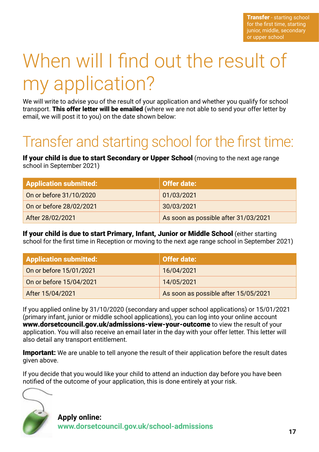**Transfer** - starting school for the first time, starting junior, middle, secondary or upper school

# When will I find out the result of my application?

We will write to advise you of the result of your application and whether you qualify for school transport. This offer letter will be emailed (where we are not able to send your offer letter by email, we will post it to you) on the date shown below:

## Transfer and starting school for the first time:

If your child is due to start Secondary or Upper School (moving to the next age range school in September 2021)

| <b>Application submitted:</b> | Offer date:                          |
|-------------------------------|--------------------------------------|
| On or before 31/10/2020       | 01/03/2021                           |
| On or before 28/02/2021       | 30/03/2021                           |
| After 28/02/2021              | As soon as possible after 31/03/2021 |

If your child is due to start Primary, Infant, Junior or Middle School (either starting school for the first time in Reception or moving to the next age range school in September 2021)

| <b>Application submitted:</b> | Offer date:                          |
|-------------------------------|--------------------------------------|
| On or before 15/01/2021       | 16/04/2021                           |
| On or before 15/04/2021       | 14/05/2021                           |
| After 15/04/2021              | As soon as possible after 15/05/2021 |

If you applied online by 31/10/2020 (secondary and upper school applications) or 15/01/2021 (primary infant, junior or middle school applications), you can log into your online account www.dorsetcouncil.gov.uk/admissions-view-your-outcome to view the result of your application. You will also receive an email later in the day with your offer letter. This letter will also detail any transport entitlement.

**Important:** We are unable to tell anyone the result of their application before the result dates given above.

If you decide that you would like your child to attend an induction day before you have been notified of the outcome of your application, this is done entirely at your risk.

![](_page_16_Picture_11.jpeg)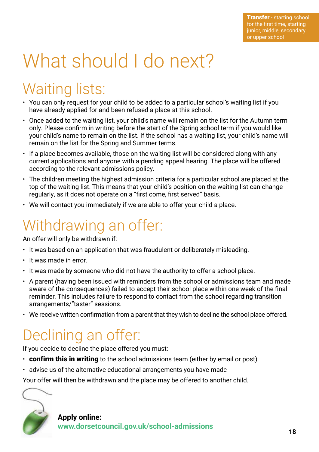# What should I do next?

## Waiting lists:

- You can only request for your child to be added to a particular school's waiting list if you have already applied for and been refused a place at this school.
- Once added to the waiting list, your child's name will remain on the list for the Autumn term only. Please confirm in writing before the start of the Spring school term if you would like your child's name to remain on the list. If the school has a waiting list, your child's name will remain on the list for the Spring and Summer terms.
- If a place becomes available, those on the waiting list will be considered along with any current applications and anyone with a pending appeal hearing. The place will be offered according to the relevant admissions policy.
- The children meeting the highest admission criteria for a particular school are placed at the top of the waiting list. This means that your child's position on the waiting list can change regularly, as it does not operate on a "first come, first served" basis.
- We will contact you immediately if we are able to offer your child a place.

## Withdrawing an offer:

An offer will only be withdrawn if:

- It was based on an application that was fraudulent or deliberately misleading.
- It was made in error.
- It was made by someone who did not have the authority to offer a school place.
- A parent (having been issued with reminders from the school or admissions team and made aware of the consequences) failed to accept their school place within one week of the final reminder. This includes failure to respond to contact from the school regarding transition arrangements/"taster" sessions.
- We receive written confirmation from a parent that they wish to decline the school place offered.

## Declining an offer:

If you decide to decline the place offered you must:

- $\cdot$  confirm this in writing to the school admissions team (either by email or post)
- advise us of the alternative educational arrangements you have made

Your offer will then be withdrawn and the place may be offered to another child.

![](_page_17_Picture_20.jpeg)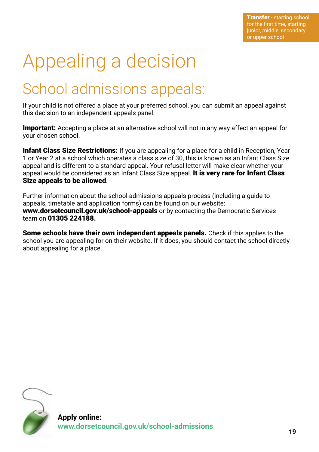# Appealing a decision

## School admissions appeals:

If your child is not offered a place at your preferred school, you can submit an appeal against this decision to an independent appeals panel.

**Important:** Accepting a place at an alternative school will not in any way affect an appeal for your chosen school.

Infant Class Size Restrictions: If you are appealing for a place for a child in Reception, Year 1 or Year 2 at a school which operates a class size of 30, this is known as an Infant Class Size appeal and is different to a standard appeal. Your refusal letter will make clear whether your appeal would be considered as an Infant Class Size appeal. It is very rare for Infant Class Size appeals to be allowed.

Further information about the school admissions appeals process (including a guide to appeals, timetable and application forms) can be found on our website: www.dorsetcouncil.gov.uk/school-appeals or by contacting the Democratic Services team on 01305 224188.

Some schools have their own independent appeals panels. Check if this applies to the school you are appealing for on their website. If it does, you should contact the school directly about appealing for a place.

![](_page_18_Picture_8.jpeg)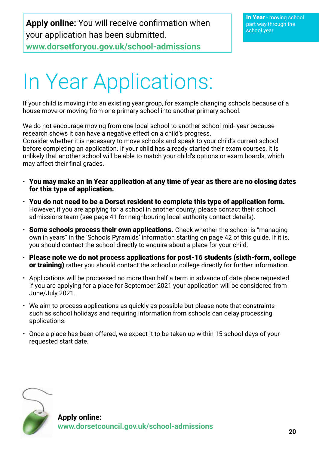**Apply online:** You will receive confirmation when your application has been submitted. **www.dorsetforyou.gov.uk/school-admissions**

# In Year Applications:

If your child is moving into an existing year group, for example changing schools because of a house move or moving from one primary school into another primary school.

We do not encourage moving from one local school to another school mid- year because research shows it can have a negative effect on a child's progress. Consider whether it is necessary to move schools and speak to your child's current school before completing an application. If your child has already started their exam courses, it is unlikely that another school will be able to match your child's options or exam boards, which may affect their final grades.

- You may make an In Year application at any time of year as there are no closing dates for this type of application.
- $\cdot$  You do not need to be a Dorset resident to complete this type of application form. However, if you are applying for a school in another county, please contact their school admissions team (see page 41 for neighbouring local authority contact details).
- $\cdot$  Some schools process their own applications. Check whether the school is "managing" own in years" in the 'Schools Pyramids' information starting on page 42 of this guide. If it is, you should contact the school directly to enquire about a place for your child.
- Please note we do not process applications for post-16 students (sixth-form, college or training) rather you should contact the school or college directly for further information.
- Applications will be processed no more than half a term in advance of date place requested. If you are applying for a place for September 2021 your application will be considered from June/July 2021.
- We aim to process applications as quickly as possible but please note that constraints such as school holidays and requiring information from schools can delay processing applications.
- Once a place has been offered, we expect it to be taken up within 15 school days of your requested start date.

![](_page_19_Picture_12.jpeg)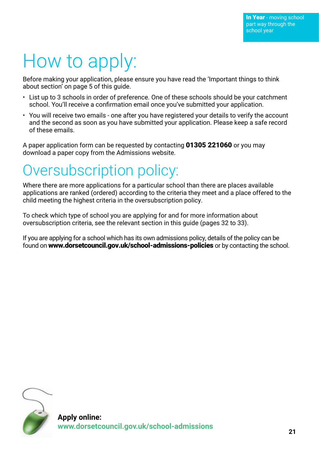# How to apply:

Before making your application, please ensure you have read the 'Important things to think about section' on page 5 of this guide.

- List up to 3 schools in order of preference. One of these schools should be your catchment school. You'll receive a confirmation email once you've submitted your application.
- You will receive two emails one after you have registered your details to verify the account and the second as soon as you have submitted your application. Please keep a safe record of these emails.

A paper application form can be requested by contacting 01305 221060 or you may download a paper copy from the Admissions website.

## Oversubscription policy:

Where there are more applications for a particular school than there are places available applications are ranked (ordered) according to the criteria they meet and a place offered to the child meeting the highest criteria in the oversubscription policy.

To check which type of school you are applying for and for more information about oversubscription criteria, see the relevant section in this guide (pages 32 to 33).

If you are applying for a school which has its own admissions policy, details of the policy can be found on www.dorsetcouncil.gov.uk/school-admissions-policies or by contacting the school.

![](_page_20_Picture_10.jpeg)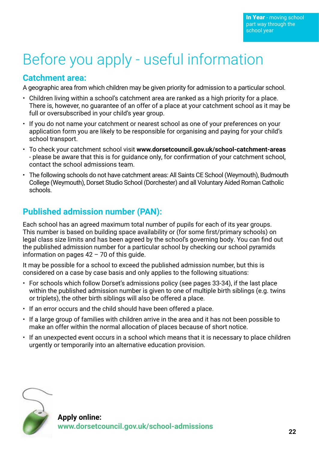## Before you apply - useful information

## **Catchment area:**

A geographic area from which children may be given priority for admission to a particular school.

- Children living within a school's catchment area are ranked as a high priority for a place. There is, however, no guarantee of an offer of a place at your catchment school as it may be full or oversubscribed in your child's year group.
- If you do not name your catchment or nearest school as one of your preferences on your application form you are likely to be responsible for organising and paying for your child's school transport.
- To check your catchment school visit **www.dorsetcouncil.gov.uk/school-catchment-areas** - please be aware that this is for guidance only, for confirmation of your catchment school, contact the school admissions team.
- The following schools do not have catchment areas: All Saints CE School (Weymouth), Budmouth College (Weymouth), Dorset Studio School (Dorchester) and all Voluntary Aided Roman Catholic schools.

## **Published admission number (PAN):**

Each school has an agreed maximum total number of pupils for each of its year groups. This number is based on building space availability or (for some first/primary schools) on legal class size limits and has been agreed by the school's governing body. You can find out the published admission number for a particular school by checking our school pyramids information on pages  $42 - 70$  of this guide.

It may be possible for a school to exceed the published admission number, but this is considered on a case by case basis and only applies to the following situations:

- For schools which follow Dorset's admissions policy (see pages 33-34), if the last place within the published admission number is given to one of multiple birth siblings (e.g. twins or triplets), the other birth siblings will also be offered a place.
- If an error occurs and the child should have been offered a place.
- If a large group of families with children arrive in the area and it has not been possible to make an offer within the normal allocation of places because of short notice.
- If an unexpected event occurs in a school which means that it is necessary to place children urgently or temporarily into an alternative education provision.

![](_page_21_Picture_15.jpeg)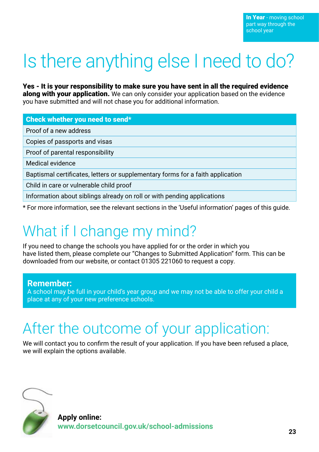# Is there anything else I need to do?

Yes - It is your responsibility to make sure you have sent in all the required evidence along with your application. We can only consider your application based on the evidence you have submitted and will not chase you for additional information.

#### Check whether you need to send\*

Proof of a new address

Copies of passports and visas

Proof of parental responsibility

Medical evidence

Baptismal certificates, letters or supplementary forms for a faith application

Child in care or vulnerable child proof

Information about siblings already on roll or with pending applications

\* For more information, see the relevant sections in the 'Useful information' pages of this guide.

## What if I change my mind?

If you need to change the schools you have applied for or the order in which you have listed them, please complete our "Changes to Submitted Application" form. This can be downloaded from our website, or contact 01305 221060 to request a copy.

#### **Remember:**

A school may be full in your child's year group and we may not be able to offer your child a place at any of your new preference schools.

## After the outcome of your application:

We will contact you to confirm the result of your application. If you have been refused a place, we will explain the options available.

![](_page_22_Picture_18.jpeg)

**Apply online: www.dorsetcouncil.gov.uk/school-admissions <sup>23</sup>**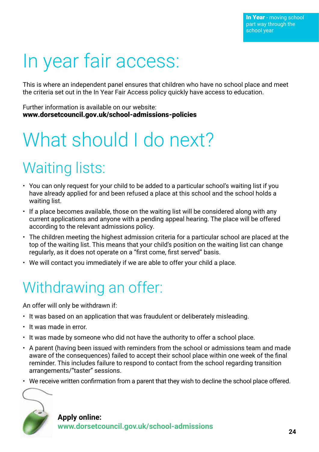# In year fair access:

This is where an independent panel ensures that children who have no school place and meet the criteria set out in the In Year Fair Access policy quickly have access to education.

Further information is available on our website: www.dorsetcouncil.gov.uk/school-admissions-policies

# What should I do next?

## Waiting lists:

- You can only request for your child to be added to a particular school's waiting list if you have already applied for and been refused a place at this school and the school holds a waiting list.
- If a place becomes available, those on the waiting list will be considered along with any current applications and anyone with a pending appeal hearing. The place will be offered according to the relevant admissions policy.
- The children meeting the highest admission criteria for a particular school are placed at the top of the waiting list. This means that your child's position on the waiting list can change regularly, as it does not operate on a "first come, first served" basis.
- We will contact you immediately if we are able to offer your child a place.

## Withdrawing an offer:

An offer will only be withdrawn if:

- It was based on an application that was fraudulent or deliberately misleading.
- It was made in error.
- It was made by someone who did not have the authority to offer a school place.
- A parent (having been issued with reminders from the school or admissions team and made aware of the consequences) failed to accept their school place within one week of the final reminder. This includes failure to respond to contact from the school regarding transition arrangements/"taster" sessions.
- We receive written confirmation from a parent that they wish to decline the school place offered.

![](_page_23_Picture_17.jpeg)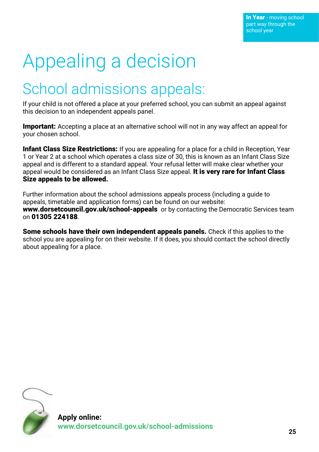# Appealing a decision

## School admissions appeals:

If your child is not offered a place at your preferred school, you can submit an appeal against this decision to an independent appeals panel.

**Important:** Accepting a place at an alternative school will not in any way affect an appeal for your chosen school.

Infant Class Size Restrictions: If you are appealing for a place for a child in Reception, Year 1 or Year 2 at a school which operates a class size of 30, this is known as an Infant Class Size appeal and is different to a standard appeal. Your refusal letter will make clear whether your appeal would be considered as an Infant Class Size appeal. It is very rare for Infant Class Size appeals to be allowed.

Further information about the school admissions appeals process (including a guide to appeals, timetable and application forms) can be found on our website: www.dorsetcouncil.gov.uk/school-appeals or by contacting the Democratic Services team on 01305 224188.

Some schools have their own independent appeals panels. Check if this applies to the school you are appealing for on their website. If it does, you should contact the school directly about appealing for a place.

![](_page_24_Picture_8.jpeg)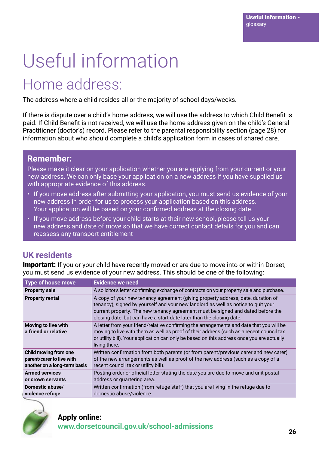# Useful information

## Home address:

The address where a child resides all or the majority of school days/weeks.

If there is dispute over a child's home address, we will use the address to which Child Benefit is paid. If Child Benefit is not received, we will use the home address given on the child's General Practitioner (doctor's) record. Please refer to the parental responsibility section (page 28) for information about who should complete a child's application form in cases of shared care.

### **Remember:**

Please make it clear on your application whether you are applying from your current or your new address. We can only base your application on a new address if you have supplied us with appropriate evidence of this address.

- If you move address after submitting your application, you must send us evidence of your new address in order for us to process your application based on this address. Your application will be based on your confirmed address at the closing date.
- If you move address before your child starts at their new school, please tell us your new address and date of move so that we have correct contact details for you and can reassess any transport entitlement

## **UK residents**

**Important:** If you or your child have recently moved or are due to move into or within Dorset, you must send us evidence of your new address. This should be one of the following:

| <b>Type of house move</b>                                                          | <b>Evidence we need</b>                                                                                                                                                                                                                                                                                                          |
|------------------------------------------------------------------------------------|----------------------------------------------------------------------------------------------------------------------------------------------------------------------------------------------------------------------------------------------------------------------------------------------------------------------------------|
| <b>Property sale</b>                                                               | A solicitor's letter confirming exchange of contracts on your property sale and purchase.                                                                                                                                                                                                                                        |
| <b>Property rental</b>                                                             | A copy of your new tenancy agreement (giving property address, date, duration of<br>tenancy), signed by yourself and your new landlord as well as notice to quit your<br>current property. The new tenancy agreement must be signed and dated before the<br>closing date, but can have a start date later than the closing date. |
| Moving to live with<br>a friend or relative                                        | A letter from your friend/relative confirming the arrangements and date that you will be<br>moving to live with them as well as proof of their address (such as a recent council tax<br>or utility bill). Your application can only be based on this address once you are actually<br>living there.                              |
| Child moving from one<br>parent/carer to live with<br>another on a long-term basis | Written confirmation from both parents (or from parent/previous carer and new carer)<br>of the new arrangements as well as proof of the new address (such as a copy of a<br>recent council tax or utility bill).                                                                                                                 |
| <b>Armed services</b><br>or crown servants                                         | Posting order or official letter stating the date you are due to move and unit postal<br>address or quartering area.                                                                                                                                                                                                             |
| Domestic abuse/<br>violence refuge                                                 | Written confirmation (from refuge staff) that you are living in the refuge due to<br>domestic abuse/violence.                                                                                                                                                                                                                    |

![](_page_25_Picture_12.jpeg)

## **Apply online: www.dorsetcouncil.gov.uk/school-admissions <sup>26</sup>**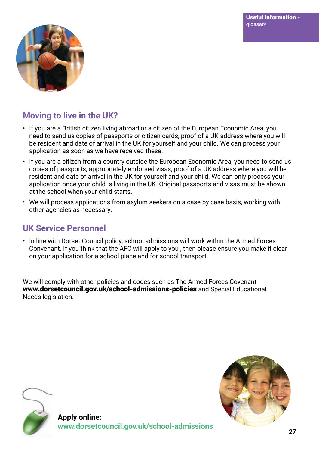![](_page_26_Picture_1.jpeg)

## **Moving to live in the UK?**

- If you are a British citizen living abroad or a citizen of the European Economic Area, you need to send us copies of passports or citizen cards, proof of a UK address where you will be resident and date of arrival in the UK for yourself and your child. We can process your application as soon as we have received these.
- If you are a citizen from a country outside the European Economic Area, you need to send us copies of passports, appropriately endorsed visas, proof of a UK address where you will be resident and date of arrival in the UK for yourself and your child. We can only process your application once your child is living in the UK. Original passports and visas must be shown at the school when your child starts.
- We will process applications from asylum seekers on a case by case basis, working with other agencies as necessary.

## **UK Service Personnel**

• In line with Dorset Council policy, school admissions will work within the Armed Forces Convenant. If you think that the AFC will apply to you , then please ensure you make it clear on your application for a school place and for school transport.

We will comply with other policies and codes such as The Armed Forces Covenant www.dorsetcouncil.gov.uk/school-admissions-policies and Special Educational Needs legislation.

![](_page_26_Picture_9.jpeg)

![](_page_26_Picture_10.jpeg)

**Apply online: www.dorsetcouncil.gov.uk/school-admissions <sup>27</sup>**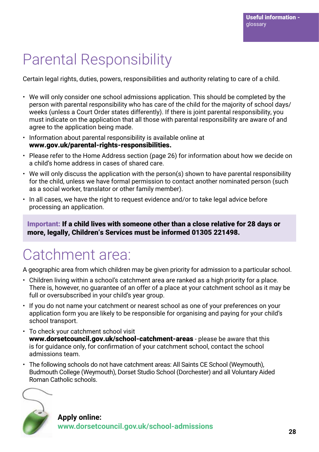## Parental Responsibility

Certain legal rights, duties, powers, responsibilities and authority relating to care of a child.

- We will only consider one school admissions application. This should be completed by the person with parental responsibility who has care of the child for the majority of school days/ weeks (unless a Court Order states differently). If there is joint parental responsibility, you must indicate on the application that all those with parental responsibility are aware of and agree to the application being made.
- Information about parental responsibility is available online at www.gov.uk/parental-rights-responsibilities.
- Please refer to the Home Address section (page 26) for information about how we decide on a child's home address in cases of shared care.
- We will only discuss the application with the person(s) shown to have parental responsibility for the child, unless we have formal permission to contact another nominated person (such as a social worker, translator or other family member).
- In all cases, we have the right to request evidence and/or to take legal advice before processing an application.

Important: If a child lives with someone other than a close relative for 28 days or more, legally, Children's Services must be informed 01305 221498.

## Catchment area:

A geographic area from which children may be given priority for admission to a particular school.

- Children living within a school's catchment area are ranked as a high priority for a place. There is, however, no guarantee of an offer of a place at your catchment school as it may be full or oversubscribed in your child's year group.
- If you do not name your catchment or nearest school as one of your preferences on your application form you are likely to be responsible for organising and paying for your child's school transport.
- To check your catchment school visit www.dorsetcouncil.gov.uk/school-catchment-areas - please be aware that this is for guidance only, for confirmation of your catchment school, contact the school admissions team.
- The following schools do not have catchment areas: All Saints CE School (Weymouth), Budmouth College (Weymouth), Dorset Studio School (Dorchester) and all Voluntary Aided Roman Catholic schools.

![](_page_27_Picture_15.jpeg)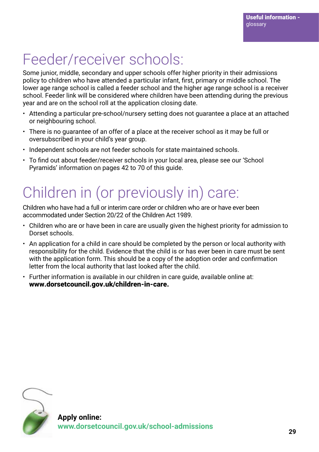## Feeder/receiver schools:

Some junior, middle, secondary and upper schools offer higher priority in their admissions policy to children who have attended a particular infant, first, primary or middle school. The lower age range school is called a feeder school and the higher age range school is a receiver school. Feeder link will be considered where children have been attending during the previous year and are on the school roll at the application closing date.

- Attending a particular pre-school/nursery setting does not guarantee a place at an attached or neighbouring school.
- There is no guarantee of an offer of a place at the receiver school as it may be full or oversubscribed in your child's year group.
- Independent schools are not feeder schools for state maintained schools.
- To find out about feeder/receiver schools in your local area, please see our 'School Pyramids' information on pages 42 to 70 of this guide.

## Children in (or previously in) care:

Children who have had a full or interim care order or children who are or have ever been accommodated under Section 20/22 of the Children Act 1989.

- Children who are or have been in care are usually given the highest priority for admission to Dorset schools.
- An application for a child in care should be completed by the person or local authority with responsibility for the child. Evidence that the child is or has ever been in care must be sent with the application form. This should be a copy of the adoption order and confirmation letter from the local authority that last looked after the child.
- Further information is available in our children in care guide, available online at: www.dorsetcouncil.gov.uk/children-in-care.

![](_page_28_Picture_12.jpeg)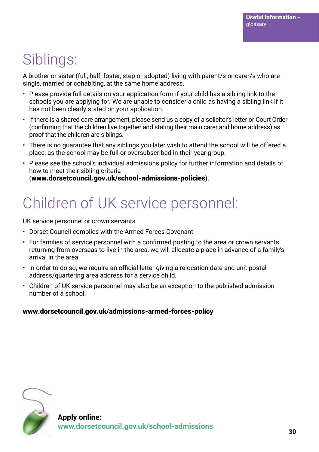## Siblings:

A brother or sister (full, half, foster, step or adopted) living with parent/s or carer/s who are single, married or cohabiting, at the same home address.

- Please provide full details on your application form if your child has a sibling link to the schools you are applying for. We are unable to consider a child as having a sibling link if it has not been clearly stated on your application.
- If there is a shared care arrangement, please send us a copy of a solicitor's letter or Court Order (confirming that the children live together and stating their main carer and home address) as proof that the children are siblings.
- There is no guarantee that any siblings you later wish to attend the school will be offered a place, as the school may be full or oversubscribed in their year group.
- Please see the school's individual admissions policy for further information and details of how to meet their sibling criteria (www.dorsetcouncil.gov.uk/school-admissions-policies).

## Children of UK service personnel:

UK service personnel or crown servants

- Dorset Council complies with the Armed Forces Covenant.
- For families of service personnel with a confirmed posting to the area or crown servants returning from overseas to live in the area, we will allocate a place in advance of a family's arrival in the area.
- In order to do so, we require an official letter giving a relocation date and unit postal address/quartering area address for a service child.
- Children of UK service personnel may also be an exception to the published admission number of a school.

### www.dorsetcouncil.gov.uk/admissions-armed-forces-policy

![](_page_29_Picture_14.jpeg)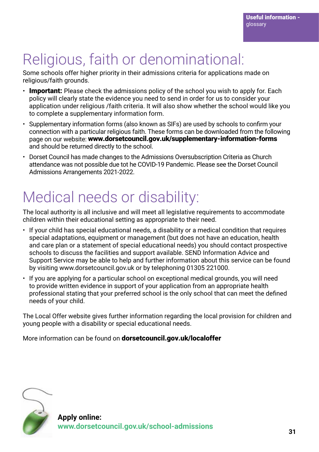## Religious, faith or denominational:

Some schools offer higher priority in their admissions criteria for applications made on religious/faith grounds.

- $\cdot$  Important: Please check the admissions policy of the school you wish to apply for. Each policy will clearly state the evidence you need to send in order for us to consider your application under religious /faith criteria. It will also show whether the school would like you to complete a supplementary information form.
- Supplementary information forms (also known as SIFs) are used by schools to confirm your connection with a particular religious faith. These forms can be downloaded from the following page on our website: www.dorsetcouncil.gov.uk/supplementary-information-forms and should be returned directly to the school.
- Dorset Council has made changes to the Admissions Oversubscription Criteria as Church attendance was not possible due tot he COVID-19 Pandemic. Please see the Dorset Council Admissions Arrangements 2021-2022.

## Medical needs or disability:

The local authority is all inclusive and will meet all legislative requirements to accommodate children within their educational setting as appropriate to their need.

- If your child has special educational needs, a disability or a medical condition that requires special adaptations, equipment or management (but does not have an education, health and care plan or a statement of special educational needs) you should contact prospective schools to discuss the facilities and support available. SEND Information Advice and Support Service may be able to help and further information about this service can be found by visiting www.dorsetcouncil.gov.uk or by telephoning 01305 221000.
- If you are applying for a particular school on exceptional medical grounds, you will need to provide written evidence in support of your application from an appropriate health professional stating that your preferred school is the only school that can meet the defined needs of your child.

The Local Offer website gives further information regarding the local provision for children and young people with a disability or special educational needs.

More information can be found on **dorsetcouncil.gov.uk/localoffer** 

![](_page_30_Picture_12.jpeg)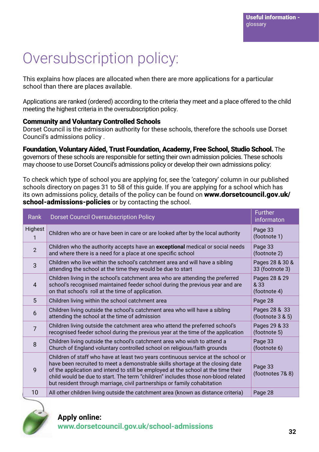## Oversubscription policy:

This explains how places are allocated when there are more applications for a particular school than there are places available.

Applications are ranked (ordered) according to the criteria they meet and a place offered to the child meeting the highest criteria in the oversubscription policy.

#### Community and Voluntary Controlled Schools

Dorset Council is the admission authority for these schools, therefore the schools use Dorset Council's admissions policy .

Foundation, Voluntary Aided, Trust Foundation, Academy, Free School, Studio School. The governors of these schools are responsible for setting their own admission policies. These schools may choose to use Dorset Council's admissions policy or develop their own admissions policy:

To check which type of school you are applying for, see the 'category' column in our published schools directory on pages 31 to 58 of this guide. If you are applying for a school which has its own admissions policy, details of the policy can be found on www.dorsetcouncil.gov.uk/ school-admissions-policies or by contacting the school.

| Rank           | <b>Dorset Council Oversubscription Policy</b>                                                                                                                                                                                                                                                                                                                                                                              | <b>Further</b><br>informaton          |
|----------------|----------------------------------------------------------------------------------------------------------------------------------------------------------------------------------------------------------------------------------------------------------------------------------------------------------------------------------------------------------------------------------------------------------------------------|---------------------------------------|
| Highest<br>1   | Children who are or have been in care or are looked after by the local authority                                                                                                                                                                                                                                                                                                                                           | Page 33<br>(footnote 1)               |
| $\overline{2}$ | Children who the authority accepts have an exceptional medical or social needs<br>and where there is a need for a place at one specific school                                                                                                                                                                                                                                                                             | Page 33<br>(footnote 2)               |
| 3              | Children who live within the school's catchment area and will have a sibling<br>attending the school at the time they would be due to start                                                                                                                                                                                                                                                                                | Pages 28 & 30 &<br>33 (footnote 3)    |
| 4              | Children living in the school's catchment area who are attending the preferred<br>school's recognised maintained feeder school during the previous year and are<br>on that school's roll at the time of application.                                                                                                                                                                                                       | Pages 28 & 29<br>& 33<br>(footnote 4) |
| 5              | Children living within the school catchment area                                                                                                                                                                                                                                                                                                                                                                           | Page 28                               |
| 6              | Children living outside the school's catchment area who will have a sibling<br>attending the school at the time of admission                                                                                                                                                                                                                                                                                               | Pages 28 & 33<br>(footnote 3 & 5)     |
| $\overline{7}$ | Children living outside the catchment area who attend the preferred school's<br>recognised feeder school during the previous year at the time of the application                                                                                                                                                                                                                                                           | Pages 29 & 33<br>(footnote 5)         |
| 8              | Children living outside the school's catchment area who wish to attend a<br>Church of England voluntary controlled school on religious/faith grounds                                                                                                                                                                                                                                                                       | Page 33<br>(footnote 6)               |
| 9              | Children of staff who have at least two years continuous service at the school or<br>have been recruited to meet a demonstrable skills shortage at the closing date<br>of the application and intend to still be employed at the school at the time their<br>child would be due to start. The term "children" includes those non-blood related<br>but resident through marriage, civil partnerships or family cohabitation | Page 33<br>(footnotes 7& 8)           |
| 10             | All other children living outside the catchment area (known as distance criteria)                                                                                                                                                                                                                                                                                                                                          | Page 28                               |

![](_page_31_Picture_9.jpeg)

## **Apply online: www.dorsetcouncil.gov.uk/school-admissions <sup>32</sup>**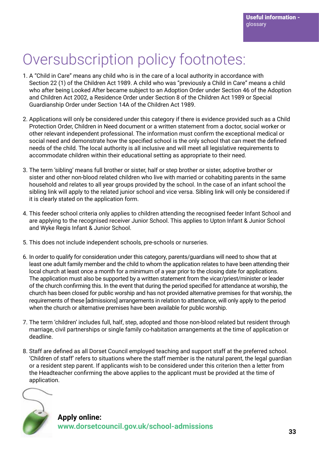## Oversubscription policy footnotes:

- 1. A "Child in Care" means any child who is in the care of a local authority in accordance with Section 22 (1) of the Children Act 1989. A child who was "previously a Child in Care" means a child who after being Looked After became subject to an Adoption Order under Section 46 of the Adoption and Children Act 2002, a Residence Order under Section 8 of the Children Act 1989 or Special Guardianship Order under Section 14A of the Children Act 1989.
- 2. Applications will only be considered under this category if there is evidence provided such as a Child Protection Order, Children in Need document or a written statement from a doctor, social worker or other relevant independent professional. The information must confirm the exceptional medical or social need and demonstrate how the specified school is the only school that can meet the defined needs of the child. The local authority is all inclusive and will meet all legislative requirements to accommodate children within their educational setting as appropriate to their need.
- 3. The term 'sibling' means full brother or sister, half or step brother or sister, adoptive brother or sister and other non-blood related children who live with married or cohabiting parents in the same household and relates to all year groups provided by the school. In the case of an infant school the sibling link will apply to the related junior school and vice versa. Sibling link will only be considered if it is clearly stated on the application form.
- 4. This feeder school criteria only applies to children attending the recognised feeder Infant School and are applying to the recognised receiver Junior School. This applies to Upton Infant & Junior School and Wyke Regis Infant & Junior School.
- 5. This does not include independent schools, pre-schools or nurseries.
- 6. In order to qualify for consideration under this category, parents/guardians will need to show that at least one adult family member and the child to whom the application relates to have been attending their local church at least once a month for a minimum of a year prior to the closing date for applications. The application must also be supported by a written statement from the vicar/priest/minister or leader of the church confirming this. In the event that during the period specified for attendance at worship, the church has been closed for public worship and has not provided alternative premises for that worship, the requirements of these [admissions] arrangements in relation to attendance, will only apply to the period when the church or alternative premises have been available for public worship.
- 7. The term 'children' includes full, half, step, adopted and those non-blood related but resident through marriage, civil partnerships or single family co-habitation arrangements at the time of application or deadline.
- 8. Staff are defined as all Dorset Council employed teaching and support staff at the preferred school. 'Children of staff' refers to situations where the staff member is the natural parent, the legal guardian or a resident step parent. If applicants wish to be considered under this criterion then a letter from the Headteacher confirming the above applies to the applicant must be provided at the time of application.

![](_page_32_Picture_10.jpeg)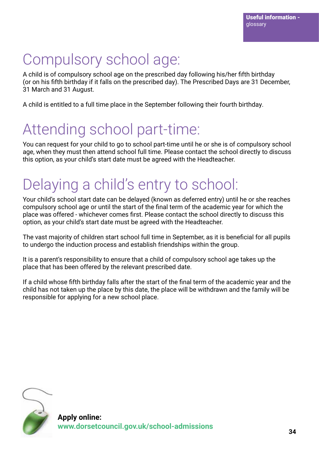## Compulsory school age:

A child is of compulsory school age on the prescribed day following his/her fifth birthday (or on his fifth birthday if it falls on the prescribed day). The Prescribed Days are 31 December, 31 March and 31 August.

A child is entitled to a full time place in the September following their fourth birthday.

## Attending school part-time:

You can request for your child to go to school part-time until he or she is of compulsory school age, when they must then attend school full time. Please contact the school directly to discuss this option, as your child's start date must be agreed with the Headteacher.

## Delaying a child's entry to school:

Your child's school start date can be delayed (known as deferred entry) until he or she reaches compulsory school age or until the start of the final term of the academic year for which the place was offered - whichever comes first. Please contact the school directly to discuss this option, as your child's start date must be agreed with the Headteacher.

The vast majority of children start school full time in September, as it is beneficial for all pupils to undergo the induction process and establish friendships within the group.

It is a parent's responsibility to ensure that a child of compulsory school age takes up the place that has been offered by the relevant prescribed date.

If a child whose fifth birthday falls after the start of the final term of the academic year and the child has not taken up the place by this date, the place will be withdrawn and the family will be responsible for applying for a new school place.

![](_page_33_Picture_11.jpeg)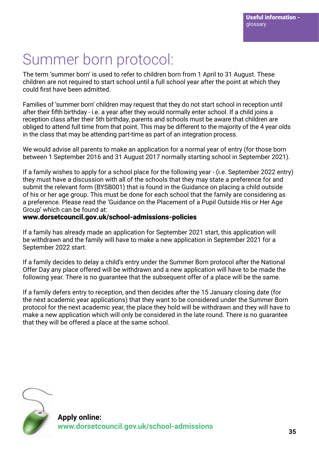## Summer born protocol:

The term 'summer born' is used to refer to children born from 1 April to 31 August. These children are not required to start school until a full school year after the point at which they could first have been admitted.

Families of 'summer born' children may request that they do not start school in reception until after their fifth birthday - i.e. a year after they would normally enter school. If a child joins a reception class after their 5th birthday, parents and schools must be aware that children are obliged to attend full time from that point. This may be different to the majority of the 4 year olds in the class that may be attending part-time as part of an integration process.

We would advise all parents to make an application for a normal year of entry (for those born between 1 September 2016 and 31 August 2017 normally starting school in September 2021).

If a family wishes to apply for a school place for the following year - (i.e. September 2022 entry) they must have a discussion with all of the schools that they may state a preference for and submit the relevant form (BYSB001) that is found in the Guidance on placing a child outside of his or her age group. This must be done for each school that the family are considering as a preference. Please read the 'Guidance on the Placement of a Pupil Outside His or Her Age Group' which can be found at:

#### www.dorsetcouncil.gov.uk/school-admissions-policies

If a family has already made an application for September 2021 start, this application will be withdrawn and the family will have to make a new application in September 2021 for a September 2022 start.

If a family decides to delay a child's entry under the Summer Born protocol after the National Offer Day any place offered will be withdrawn and a new application will have to be made the following year. There is no guarantee that the subsequent offer of a place will be the same.

If a family defers entry to reception, and then decides after the 15 January closing date (for the next academic year applications) that they want to be considered under the Summer Born protocol for the next academic year, the place they hold will be withdrawn and they will have to make a new application which will only be considered in the late round. There is no guarantee that they will be offered a place at the same school.

![](_page_34_Picture_10.jpeg)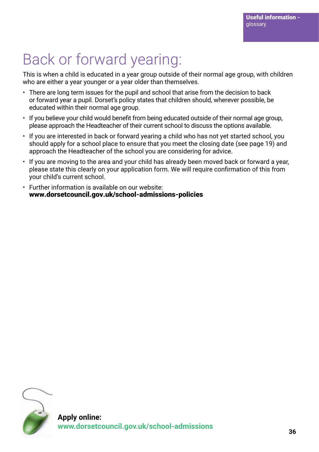## Back or forward yearing:

This is when a child is educated in a year group outside of their normal age group, with children who are either a year younger or a year older than themselves.

- There are long term issues for the pupil and school that arise from the decision to back or forward year a pupil. Dorset's policy states that children should, wherever possible, be educated within their normal age group.
- If you believe your child would benefit from being educated outside of their normal age group, please approach the Headteacher of their current school to discuss the options available.
- If you are interested in back or forward yearing a child who has not yet started school, you should apply for a school place to ensure that you meet the closing date (see page 19) and approach the Headteacher of the school you are considering for advice.
- If you are moving to the area and your child has already been moved back or forward a year, please state this clearly on your application form. We will require confirmation of this from your child's current school.
- Further information is available on our website: www.dorsetcouncil.gov.uk/school-admissions-policies

![](_page_35_Picture_8.jpeg)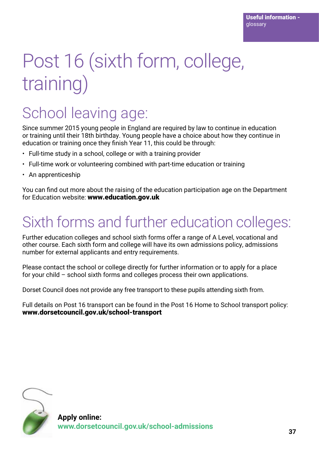# Post 16 (sixth form, college, training)

## School leaving age:

Since summer 2015 young people in England are required by law to continue in education or training until their 18th birthday. Young people have a choice about how they continue in education or training once they finish Year 11, this could be through:

- Full-time study in a school, college or with a training provider
- Full-time work or volunteering combined with part-time education or training
- An apprenticeship

You can find out more about the raising of the education participation age on the Department for Education website: www.education.gov.uk

## Sixth forms and further education colleges:

Further education colleges and school sixth forms offer a range of A Level, vocational and other course. Each sixth form and college will have its own admissions policy, admissions number for external applicants and entry requirements.

Please contact the school or college directly for further information or to apply for a place for your child – school sixth forms and colleges process their own applications.

Dorset Council does not provide any free transport to these pupils attending sixth from.

Full details on Post 16 transport can be found in the Post 16 Home to School transport policy: www.dorsetcouncil.gov.uk/school-transport

![](_page_36_Picture_13.jpeg)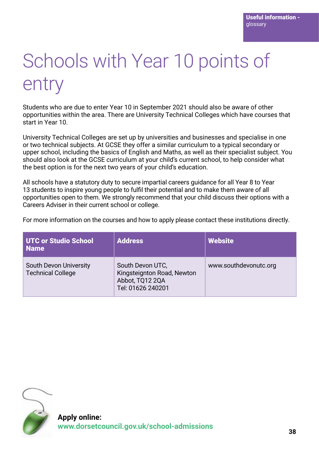# Schools with Year 10 points of entry

Students who are due to enter Year 10 in September 2021 should also be aware of other opportunities within the area. There are University Technical Colleges which have courses that start in Year 10.

University Technical Colleges are set up by universities and businesses and specialise in one or two technical subjects. At GCSE they offer a similar curriculum to a typical secondary or upper school, including the basics of English and Maths, as well as their specialist subject. You should also look at the GCSE curriculum at your child's current school, to help consider what the best option is for the next two years of your child's education.

All schools have a statutory duty to secure impartial careers guidance for all Year 8 to Year 13 students to inspire young people to fulfil their potential and to make them aware of all opportunities open to them. We strongly recommend that your child discuss their options with a Careers Adviser in their current school or college.

For more information on the courses and how to apply please contact these institutions directly.

| UTC or Studio School<br>l Name                     | <b>Address</b>                                                                         | <b>Website</b>        |
|----------------------------------------------------|----------------------------------------------------------------------------------------|-----------------------|
| South Devon University<br><b>Technical College</b> | South Devon UTC,<br>Kingsteignton Road, Newton<br>Abbot, TQ12 2QA<br>Tel: 01626 240201 | www.southdevonutc.org |

![](_page_37_Picture_7.jpeg)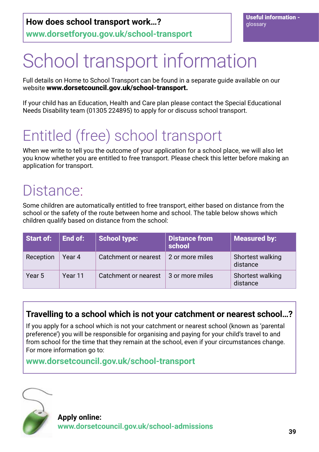# School transport information

Full details on Home to School Transport can be found in a separate guide available on our website www.dorsetcouncil.gov.uk/school-transport.

If your child has an Education, Health and Care plan please contact the Special Educational Needs Disability team (01305 224895) to apply for or discuss school transport.

## Entitled (free) school transport

When we write to tell you the outcome of your application for a school place, we will also let you know whether you are entitled to free transport. Please check this letter before making an application for transport.

## Distance:

Some children are automatically entitled to free transport, either based on distance from the school or the safety of the route between home and school. The table below shows which children qualify based on distance from the school:

| Start of: | End of: | <b>School type:</b>  | <b>Distance from</b><br>school | <b>Measured by:</b>          |
|-----------|---------|----------------------|--------------------------------|------------------------------|
| Reception | Year 4  | Catchment or nearest | 2 or more miles                | Shortest walking<br>distance |
| Year 5    | Year 11 | Catchment or nearest | 3 or more miles                | Shortest walking<br>distance |

## **Travelling to a school which is not your catchment or nearest school…?**

If you apply for a school which is not your catchment or nearest school (known as 'parental preference') you will be responsible for organising and paying for your child's travel to and from school for the time that they remain at the school, even if your circumstances change. For more information go to:

**www.dorsetcouncil.gov.uk/school-transport**

![](_page_38_Picture_13.jpeg)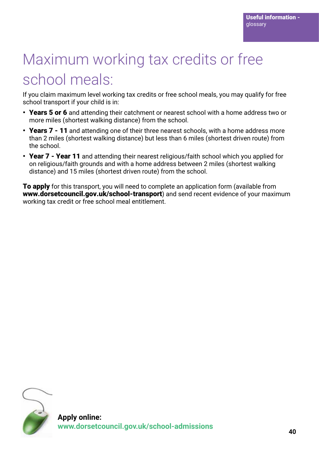## Maximum working tax credits or free school meals:

If you claim maximum level working tax credits or free school meals, you may qualify for free school transport if your child is in:

- Years 5 or 6 and attending their catchment or nearest school with a home address two or more miles (shortest walking distance) from the school.
- Years 7 11 and attending one of their three nearest schools, with a home address more than 2 miles (shortest walking distance) but less than 6 miles (shortest driven route) from the school.
- Year 7 Year 11 and attending their nearest religious/faith school which you applied for on religious/faith grounds and with a home address between 2 miles (shortest walking distance) and 15 miles (shortest driven route) from the school.

**To apply** for this transport, you will need to complete an application form (available from www.dorsetcouncil.gov.uk/school-transport) and send recent evidence of your maximum working tax credit or free school meal entitlement.

![](_page_39_Picture_7.jpeg)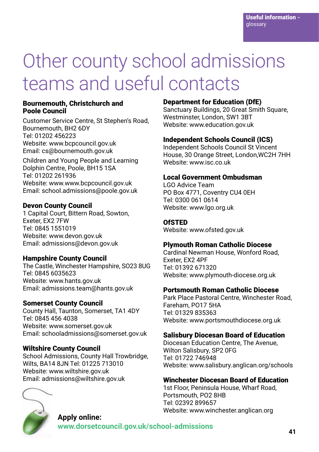# Other county school admissions teams and useful contacts

#### Bournemouth, Christchurch and Poole Council

Customer Service Centre, St Stephen's Road, Bournemouth, BH2 6DY Tel: 01202 456223 Website: www.bcpcouncil.gov.uk Email: cs@bournemouth.gov.uk

Children and Young People and Learning Dolphin Centre, Poole, BH15 1SA Tel: 01202 261936 Website: www.www.bcpcouncil.gov.uk Email: school.admissions@poole.gov.uk

#### Devon County Council

1 Capital Court, Bittern Road, Sowton, Exeter, EX2 7FW Tel: 0845 1551019 Website: www.devon.gov.uk Email: admissions@devon.gov.uk

#### Hampshire County Council

The Castle, Winchester Hampshire, SO23 8UG Tel: 0845 6035623 Website: www.hants.gov.uk Email: admissions.team@hants.gov.uk

#### Somerset County Council

County Hall, Taunton, Somerset, TA1 4DY Tel: 0845 456 4038 Website: www.somerset.gov.uk Email: schooladmissions@somerset.gov.uk

#### Wiltshire County Council

School Admissions, County Hall Trowbridge, Wilts, BA14 8JN Tel: 01225 713010 Website: www.wiltshire.gov.uk Email: admissions@wiltshire.gov.uk

![](_page_40_Picture_13.jpeg)

#### Department for Education (DfE)

Sanctuary Buildings, 20 Great Smith Square. Westminster, London, SW1 3BT Website: www.education.gov.uk

#### Independent Schools Council (ICS)

Independent Schools Council St Vincent House, 30 Orange Street, London,WC2H 7HH Website: www.isc.co.uk

#### Local Government Ombudsman

LGO Advice Team PO Box 4771, Coventry CU4 0EH Tel: 0300 061 0614 Website: www.lgo.org.uk

#### **OfSTED**

Website: www.ofsted.gov.uk

#### Plymouth Roman Catholic Diocese

Cardinal Newman House, Wonford Road, Exeter, EX2 4PF Tel: 01392 671320 Website: www.plymouth-diocese.org.uk

#### Portsmouth Roman Catholic Diocese

Park Place Pastoral Centre, Winchester Road, Fareham, PO17 5HA Tel: 01329 835363 Website: www.portsmouthdiocese.org.uk

#### Salisbury Diocesan Board of Education

Diocesan Education Centre, The Avenue, Wilton Salisbury, SP2 0FG Tel: 01722 746948 Website: www.salisbury.anglican.org/schools

#### Winchester Diocesan Board of Education

1st Floor, Peninsula House, Wharf Road, Portsmouth, PO2 8HB Tel: 02392 899657 Website: www.winchester.anglican.org

### **Apply online: www.dorsetcouncil.gov.uk/school-admissions <sup>41</sup>**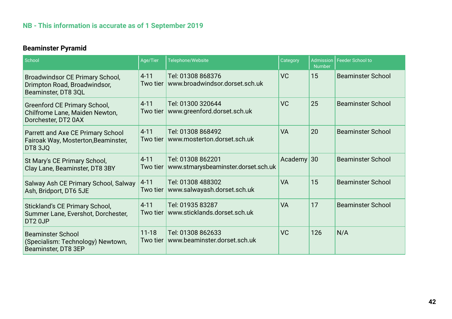### **NB - This information is accurate as of 1 September 2019**

### **Beaminster Pyramid**

| School                                                                                       | Age/Tier              | Telephone/Website                                        | Category     | <b>Number</b> | Admission   Feeder School to |
|----------------------------------------------------------------------------------------------|-----------------------|----------------------------------------------------------|--------------|---------------|------------------------------|
| Broadwindsor CE Primary School,<br>Drimpton Road, Broadwindsor,<br>Beaminster, DT8 3QL       | $4 - 11$<br>Two tier  | Tel: 01308 868376<br>www.broadwindsor.dorset.sch.uk      | VC           | 15            | <b>Beaminster School</b>     |
| <b>Greenford CE Primary School,</b><br>Chilfrome Lane, Maiden Newton,<br>Dorchester, DT2 0AX | $4 - 11$<br>Two tier  | Tel: 01300 320644<br>www.greenford.dorset.sch.uk         | VC           | 25            | <b>Beaminster School</b>     |
| Parrett and Axe CE Primary School<br>Fairoak Way, Mosterton, Beaminster,<br><b>DT8 3JQ</b>   | $4 - 11$<br>Two tier  | Tel: 01308 868492<br>www.mosterton.dorset.sch.uk         | <b>VA</b>    | 20            | <b>Beaminster School</b>     |
| St Mary's CE Primary School,<br>Clay Lane, Beaminster, DT8 3BY                               | $4 - 11$<br>Two tier  | Tel: 01308 862201<br>www.stmarysbeaminster.dorset.sch.uk | Academy $30$ |               | <b>Beaminster School</b>     |
| Salway Ash CE Primary School, Salway<br>Ash, Bridport, DT6 5JE                               | $4 - 11$<br>Two tier  | Tel: 01308 488302<br>www.salwayash.dorset.sch.uk         | <b>VA</b>    | 15            | <b>Beaminster School</b>     |
| Stickland's CE Primary School,<br>Summer Lane, Evershot, Dorchester,<br>DT <sub>2</sub> 0JP  | $4 - 11$<br>Two tier  | Tel: 01935 83287<br>www.sticklands.dorset.sch.uk         | <b>VA</b>    | 17            | <b>Beaminster School</b>     |
| <b>Beaminster School</b><br>(Specialism: Technology) Newtown,<br>Beaminster, DT8 3EP         | $11 - 18$<br>Two tier | Tel: 01308 862633<br>www.beaminster.dorset.sch.uk        | <b>VC</b>    | 126           | N/A                          |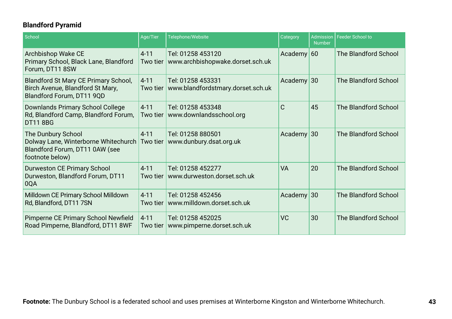### **Blandford Pyramid**

| School                                                                                                          | Age/Tier             | Telephone/Website                                      | Category     | <b>Number</b> | Admission   Feeder School to |
|-----------------------------------------------------------------------------------------------------------------|----------------------|--------------------------------------------------------|--------------|---------------|------------------------------|
| Archbishop Wake CE<br>Primary School, Black Lane, Blandford<br>Forum, DT11 8SW                                  | $4 - 11$<br>Two tier | Tel: 01258 453120<br>www.archbishopwake.dorset.sch.uk  | Academy $60$ |               | The Blandford School         |
| <b>Blandford St Mary CE Primary School,</b><br>Birch Avenue, Blandford St Mary,<br>Blandford Forum, DT11 9QD    | $4 - 11$<br>Two tier | Tel: 01258 453331<br>www.blandfordstmary.dorset.sch.uk | Academy $30$ |               | The Blandford School         |
| Downlands Primary School College<br>Rd, Blandford Camp, Blandford Forum,<br><b>DT11 8BG</b>                     | $4 - 11$<br>Two tier | Tel: 01258 453348<br>www.downlandsschool.org           | $\mathsf{C}$ | 45            | The Blandford School         |
| The Dunbury School<br>Dolway Lane, Winterborne Whitechurch<br>Blandford Forum, DT11 0AW (see<br>footnote below) | $4 - 11$<br>Two tier | Tel: 01258 880501<br>www.dunbury.dsat.org.uk           | Academy $30$ |               | The Blandford School         |
| <b>Durweston CE Primary School</b><br>Durweston, Blandford Forum, DT11<br>0QA                                   | $4 - 11$<br>Two tier | Tel: 01258 452277<br>www.durweston.dorset.sch.uk       | <b>VA</b>    | 20            | The Blandford School         |
| Milldown CE Primary School Milldown<br>Rd, Blandford, DT11 7SN                                                  | $4 - 11$<br>Two tier | Tel: 01258 452456<br>www.milldown.dorset.sch.uk        | Academy 30   |               | The Blandford School         |
| Pimperne CE Primary School Newfield<br>Road Pimperne, Blandford, DT11 8WF                                       | $4 - 11$<br>Two tier | Tel: 01258 452025<br>www.pimperne.dorset.sch.uk        | VC           | 30            | The Blandford School         |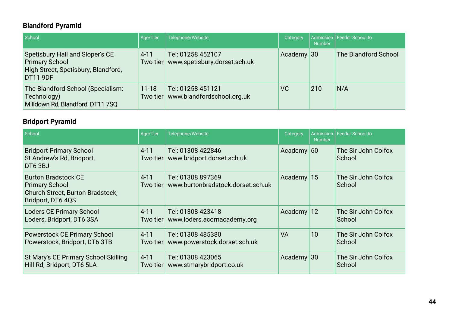### **Blandford Pyramid**

| School                                                                                                      | Age/Tier  | Telephone/Website                                            | Category     | <b>Number</b> | Admission   Feeder School to |
|-------------------------------------------------------------------------------------------------------------|-----------|--------------------------------------------------------------|--------------|---------------|------------------------------|
| Spetisbury Hall and Sloper's CE<br><b>Primary School</b><br>High Street, Spetisbury, Blandford,<br>DT11 9DF | $4 - 11$  | Tel: 01258 452107<br>Two tier   www.spetisbury.dorset.sch.uk | Academy $30$ |               | The Blandford School         |
| The Blandford School (Specialism:<br>Technology)<br>Milldown Rd, Blandford, DT11 7SQ                        | $11 - 18$ | Tel: 01258 451121<br>Two tier   www.blandfordschool.org.uk   | <b>VC</b>    | 210           | N/A                          |

### **Bridport Pyramid**

| School                                                                                                       | Age/Tier<br>Telephone/Website<br>Category |                                                        | <b>Number</b> |    | Admission   Feeder School to  |  |
|--------------------------------------------------------------------------------------------------------------|-------------------------------------------|--------------------------------------------------------|---------------|----|-------------------------------|--|
| <b>Bridport Primary School</b><br>St Andrew's Rd, Bridport,<br>DT63BJ                                        | $4 - 11$<br>Two tier                      | Tel: 01308 422846<br>www.bridport.dorset.sch.uk        | Academy $60$  |    | The Sir John Colfox<br>School |  |
| <b>Burton Bradstock CE</b><br><b>Primary School</b><br>Church Street, Burton Bradstock,<br>Bridport, DT6 4QS | $4 - 11$<br>Two tier                      | Tel: 01308 897369<br>www.burtonbradstock.dorset.sch.uk | Academy $15$  |    | The Sir John Colfox<br>School |  |
| <b>Loders CE Primary School</b><br>Loders, Bridport, DT6 3SA                                                 | $4 - 11$<br>Two tier                      | Tel: 01308 423418<br>www.loders.acornacademy.org       | Academy 12    |    | The Sir John Colfox<br>School |  |
| <b>Powerstock CE Primary School</b><br>Powerstock, Bridport, DT6 3TB                                         | $4 - 11$<br>Two tier                      | Tel: 01308 485380<br>www.powerstock.dorset.sch.uk      | <b>VA</b>     | 10 | The Sir John Colfox<br>School |  |
| St Mary's CE Primary School Skilling<br>Hill Rd, Bridport, DT6 5LA                                           | $4 - 11$<br>Two tier                      | Tel: 01308 423065<br>www.stmarybridport.co.uk          | Academy $30$  |    | The Sir John Colfox<br>School |  |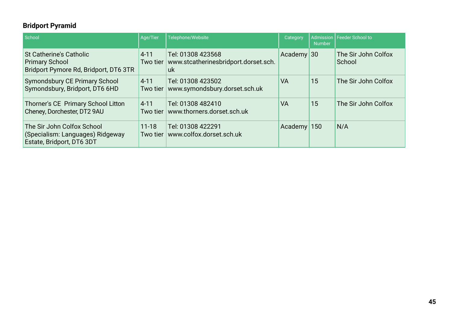### **Bridport Pyramid**

| School                                                                                           | Age/Tier              | Telephone/Website                                               | Category      | <b>Number</b> | Admission   Feeder School to  |
|--------------------------------------------------------------------------------------------------|-----------------------|-----------------------------------------------------------------|---------------|---------------|-------------------------------|
| <b>St Catherine's Catholic</b><br><b>Primary School</b><br>Bridport Pymore Rd, Bridport, DT6 3TR | $4 - 11$<br>Two tier  | Tel: 01308 423568<br>www.stcatherinesbridport.dorset.sch.<br>uk | Academy $30$  |               | The Sir John Colfox<br>School |
| Symondsbury CE Primary School<br>Symondsbury, Bridport, DT6 6HD                                  | $4 - 11$<br>Two tier  | Tel: 01308 423502<br>www.symondsbury.dorset.sch.uk              | <b>VA</b>     | 15            | The Sir John Colfox           |
| Thorner's CE Primary School Litton<br>Cheney, Dorchester, DT2 9AU                                | $4 - 11$<br>Two tier  | Tel: 01308 482410<br>www.thorners.dorset.sch.uk                 | <b>VA</b>     | 15            | The Sir John Colfox           |
| The Sir John Colfox School<br>(Specialism: Languages) Ridgeway<br>Estate, Bridport, DT6 3DT      | $11 - 18$<br>Two tier | Tel: 01308 422291<br>www.colfox.dorset.sch.uk                   | Academy $150$ |               | N/A                           |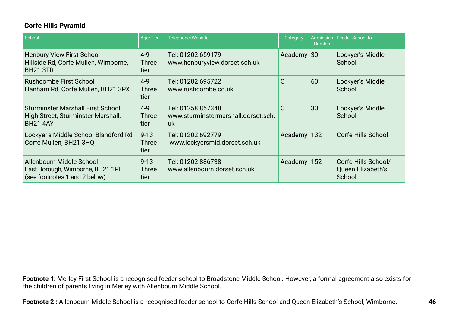### **Corfe Hills Pyramid**

| School                                                                                            | Age/Tier                         | Telephone/Website                                              | Category     | <b>Number</b> | Admission   Feeder School to                       |
|---------------------------------------------------------------------------------------------------|----------------------------------|----------------------------------------------------------------|--------------|---------------|----------------------------------------------------|
| <b>Henbury View First School</b><br>Hillside Rd, Corfe Mullen, Wimborne,<br><b>BH21 3TR</b>       | $4 - 9$<br><b>Three</b><br>tier  | Tel: 01202 659179<br>www.henburyview.dorset.sch.uk             | Academy $30$ |               | Lockyer's Middle<br>School                         |
| <b>Rushcombe First School</b><br>Hanham Rd, Corfe Mullen, BH21 3PX                                | $4 - 9$<br><b>Three</b><br>tier  | Tel: 01202 695722<br>www.rushcombe.co.uk                       | C            | 60            | Lockyer's Middle<br>School                         |
| <b>Sturminster Marshall First School</b><br>High Street, Sturminster Marshall,<br><b>BH21 4AY</b> | $4 - 9$<br><b>Three</b><br>tier  | Tel: 01258 857348<br>www.sturminstermarshall.dorset.sch.<br>uk | $\mathsf{C}$ | 30            | Lockyer's Middle<br>School                         |
| Lockyer's Middle School Blandford Rd,<br>Corfe Mullen, BH21 3HQ                                   | $9 - 13$<br><b>Three</b><br>tier | Tel: 01202 692779<br>www.lockyersmid.dorset.sch.uk             | Academy      | 132           | <b>Corfe Hills School</b>                          |
| Allenbourn Middle School<br>East Borough, Wimborne, BH21 1PL<br>(see footnotes 1 and 2 below)     | $9 - 13$<br>Three<br>tier        | Tel: 01202 886738<br>www.allenbourn.dorset.sch.uk              | Academy      | 152           | Corfe Hills School/<br>Queen Elizabeth's<br>School |

**Footnote 1:** Merley First School is a recognised feeder school to Broadstone Middle School. However, a formal agreement also exists for the children of parents living in Merley with Allenbourn Middle School.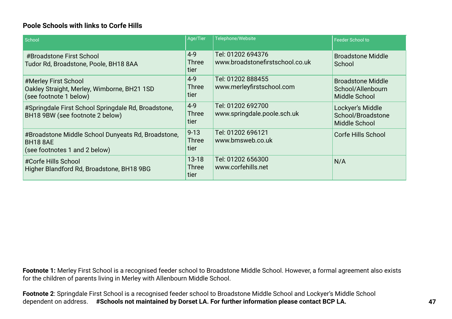#### **Poole Schools with links to Corfe Hills**

| School                                                                                                 | Age/Tier                          | Telephone/Website                                    | Feeder School to                                               |
|--------------------------------------------------------------------------------------------------------|-----------------------------------|------------------------------------------------------|----------------------------------------------------------------|
| #Broadstone First School<br>Tudor Rd, Broadstone, Poole, BH18 8AA                                      | $4 - 9$<br><b>Three</b><br>tier   | Tel: 01202 694376<br>www.broadstonefirstschool.co.uk | <b>Broadstone Middle</b><br>School                             |
| #Merley First School<br>Oakley Straight, Merley, Wimborne, BH21 1SD<br>(see footnote 1 below)          | $4 - 9$<br><b>Three</b><br>tier   | Tel: 01202 888455<br>www.merleyfirstschool.com       | <b>Broadstone Middle</b><br>School/Allenbourn<br>Middle School |
| #Springdale First School Springdale Rd, Broadstone,<br>BH18 9BW (see footnote 2 below)                 | $4 - 9$<br>Three<br>tier          | Tel: 01202 692700<br>www.springdale.poole.sch.uk     | Lockyer's Middle<br>School/Broadstone<br>Middle School         |
| #Broadstone Middle School Dunyeats Rd, Broadstone,<br><b>BH18 8AE</b><br>(see footnotes 1 and 2 below) | $9 - 13$<br><b>Three</b><br>tier  | Tel: 01202 696121<br>www.bmsweb.co.uk                | Corfe Hills School                                             |
| #Corfe Hills School<br>Higher Blandford Rd, Broadstone, BH18 9BG                                       | $13 - 18$<br><b>Three</b><br>tier | Tel: 01202 656300<br>www.corfehills.net              | N/A                                                            |

**Footnote 1:** Merley First School is a recognised feeder school to Broadstone Middle School. However, a formal agreement also exists for the children of parents living in Merley with Allenbourn Middle School.

**Footnote 2**: Springdale First School is a recognised feeder school to Broadstone Middle School and Lockyer's Middle School dependent on address. **#Schools not maintained by Dorset LA. For further information please contact BCP LA.**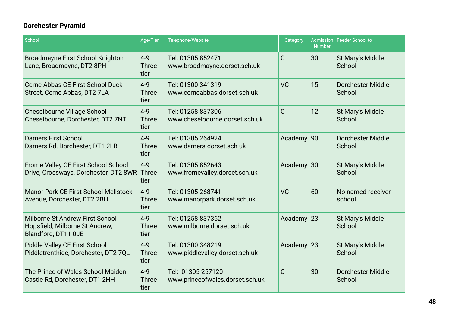### **Dorchester Pyramid**

| School                                                                                   | Age/Tier                        | Telephone/Website                                    | Category     | Admission<br><b>Number</b> | <b>Feeder School to</b>            |
|------------------------------------------------------------------------------------------|---------------------------------|------------------------------------------------------|--------------|----------------------------|------------------------------------|
| <b>Broadmayne First School Knighton</b><br>Lane, Broadmayne, DT2 8PH                     | $4 - 9$<br><b>Three</b><br>tier | Tel: 01305 852471<br>www.broadmayne.dorset.sch.uk    | C            | 30                         | St Mary's Middle<br>School         |
| Cerne Abbas CE First School Duck<br>Street, Cerne Abbas, DT2 7LA                         | $4 - 9$<br><b>Three</b><br>tier | Tel: 01300 341319<br>www.cerneabbas.dorset.sch.uk    | <b>VC</b>    | 15                         | <b>Dorchester Middle</b><br>School |
| <b>Cheselbourne Village School</b><br>Cheselbourne, Dorchester, DT2 7NT                  | $4 - 9$<br><b>Three</b><br>tier | Tel: 01258 837306<br>www.cheselbourne.dorset.sch.uk  | $\mathsf{C}$ | 12                         | St Mary's Middle<br>School         |
| <b>Damers First School</b><br>Damers Rd, Dorchester, DT1 2LB                             | $4 - 9$<br><b>Three</b><br>tier | Tel: 01305 264924<br>www.damers.dorset.sch.uk        | Academy 90   |                            | <b>Dorchester Middle</b><br>School |
| Frome Valley CE First School School<br>Drive, Crossways, Dorchester, DT2 8WR             | $4 - 9$<br>Three<br>tier        | Tel: 01305 852643<br>www.fromevalley.dorset.sch.uk   | Academy $30$ |                            | St Mary's Middle<br>School         |
| <b>Manor Park CE First School Mellstock</b><br>Avenue, Dorchester, DT2 2BH               | $4 - 9$<br><b>Three</b><br>tier | Tel: 01305 268741<br>www.manorpark.dorset.sch.uk     | <b>VC</b>    | 60                         | No named receiver<br>school        |
| Milborne St Andrew First School<br>Hopsfield, Milborne St Andrew,<br>Blandford, DT11 0JE | $4 - 9$<br><b>Three</b><br>tier | Tel: 01258 837362<br>www.milborne.dorset.sch.uk      | Academy 23   |                            | St Mary's Middle<br>School         |
| <b>Piddle Valley CE First School</b><br>Piddletrenthide, Dorchester, DT2 7QL             | $4 - 9$<br><b>Three</b><br>tier | Tel: 01300 348219<br>www.piddlevalley.dorset.sch.uk  | Academy      | 23                         | St Mary's Middle<br>School         |
| The Prince of Wales School Maiden<br>Castle Rd, Dorchester, DT1 2HH                      | $4 - 9$<br><b>Three</b><br>tier | Tel: 01305 257120<br>www.princeofwales.dorset.sch.uk | C            | 30                         | <b>Dorchester Middle</b><br>School |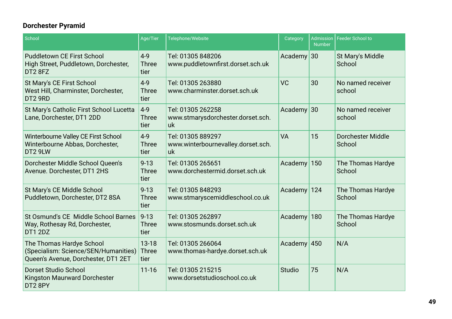### **Dorchester Pyramid**

| School                                                                                                  | Age/Tier<br>Telephone/Website    |                                                               | Category      | <b>Number</b> | Admission   Feeder School to       |  |
|---------------------------------------------------------------------------------------------------------|----------------------------------|---------------------------------------------------------------|---------------|---------------|------------------------------------|--|
| <b>Puddletown CE First School</b><br>High Street, Puddletown, Dorchester,<br>DT28FZ                     | $4 - 9$<br><b>Three</b><br>tier  | Tel: 01305 848206<br>www.puddletownfirst.dorset.sch.uk        | Academy $30$  |               | St Mary's Middle<br>School         |  |
| St Mary's CE First School<br>West Hill, Charminster, Dorchester,<br>DT2 9RD                             | $4 - 9$<br><b>Three</b><br>tier  | Tel: 01305 263880<br>www.charminster.dorset.sch.uk            | <b>VC</b>     | 30            | No named receiver<br>school        |  |
| St Mary's Catholic First School Lucetta<br>Lane, Dorchester, DT1 2DD                                    | $4 - 9$<br><b>Three</b><br>tier  | Tel: 01305 262258<br>www.stmarysdorchester.dorset.sch.<br>uk  | Academy $30$  |               | No named receiver<br>school        |  |
| Winterbourne Valley CE First School<br>Winterbourne Abbas, Dorchester,<br>DT2 9LW                       | $4 - 9$<br><b>Three</b><br>tier  | Tel: 01305 889297<br>www.winterbournevalley.dorset.sch.<br>uk | <b>VA</b>     | 15            | <b>Dorchester Middle</b><br>School |  |
| Dorchester Middle School Queen's<br>Avenue. Dorchester, DT1 2HS                                         | $9 - 13$<br><b>Three</b><br>tier | Tel: 01305 265651<br>www.dorchestermid.dorset.sch.uk          | Academy       | 150           | The Thomas Hardye<br>School        |  |
| St Mary's CE Middle School<br>Puddletown, Dorchester, DT2 8SA                                           | $9 - 13$<br><b>Three</b><br>tier | Tel: 01305 848293<br>www.stmaryscemiddleschool.co.uk          | Academy       | 124           | The Thomas Hardye<br>School        |  |
| St Osmund's CE Middle School Barnes<br>Way, Rothesay Rd, Dorchester,<br><b>DT1 2DZ</b>                  | $9 - 13$<br><b>Three</b><br>tier | Tel: 01305 262897<br>www.stosmunds.dorset.sch.uk              | Academy       | 180           | The Thomas Hardye<br>School        |  |
| The Thomas Hardye School<br>(Specialism: Science/SEN/Humanities)<br>Queen's Avenue, Dorchester, DT1 2ET | $13 - 18$<br>Three<br>tier       | Tel: 01305 266064<br>www.thomas-hardye.dorset.sch.uk          | Academy 450   |               | N/A                                |  |
| <b>Dorset Studio School</b><br><b>Kingston Maurward Dorchester</b><br>DT2 8PY                           | $11 - 16$                        | Tel: 01305 215215<br>www.dorsetstudioschool.co.uk             | <b>Studio</b> | 75            | N/A                                |  |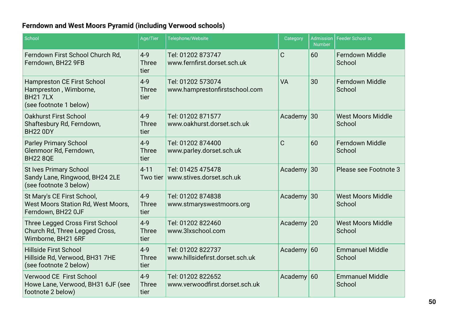### **Ferndown and West Moors Pyramid (including Verwood schools)**

| School                                                                                                  | Age/Tier                        | Telephone/Website                                    | Category    | <b>Admission</b><br><b>Number</b> | <b>Feeder School to</b>            |
|---------------------------------------------------------------------------------------------------------|---------------------------------|------------------------------------------------------|-------------|-----------------------------------|------------------------------------|
| Ferndown First School Church Rd,<br>Ferndown, BH22 9FB                                                  | $4 - 9$<br><b>Three</b><br>tier | Tel: 01202 873747<br>www.fernfirst.dorset.sch.uk     | $\mathsf C$ | 60                                | Ferndown Middle<br>School          |
| <b>Hampreston CE First School</b><br>Hampreston, Wimborne,<br><b>BH21 7LX</b><br>(see footnote 1 below) | $4 - 9$<br><b>Three</b><br>tier | Tel: 01202 573074<br>www.hamprestonfirstschool.com   | <b>VA</b>   | 30                                | <b>Ferndown Middle</b><br>School   |
| <b>Oakhurst First School</b><br>Shaftesbury Rd, Ferndown,<br><b>BH22 0DY</b>                            | $4 - 9$<br><b>Three</b><br>tier | Tel: 01202 871577<br>www.oakhurst.dorset.sch.uk      | Academy     | 30                                | <b>West Moors Middle</b><br>School |
| <b>Parley Primary School</b><br>Glenmoor Rd, Ferndown,<br><b>BH22 8QE</b>                               | $4 - 9$<br><b>Three</b><br>tier | Tel: 01202 874400<br>www.parley.dorset.sch.uk        | $\mathsf C$ | 60                                | <b>Ferndown Middle</b><br>School   |
| <b>St Ives Primary School</b><br>Sandy Lane, Ringwood, BH24 2LE<br>(see footnote 3 below)               | $4 - 11$<br>Two tier            | Tel: 01425 475478<br>www.stives.dorset.sch.uk        | Academy     | 30                                | Please see Footnote 3              |
| St Mary's CE First School,<br><b>West Moors Station Rd, West Moors,</b><br>Ferndown, BH22 0JF           | $4-9$<br><b>Three</b><br>tier   | Tel: 01202 874838<br>www.stmaryswestmoors.org        | Academy     | 30                                | <b>West Moors Middle</b><br>School |
| Three Legged Cross First School<br>Church Rd, Three Legged Cross,<br>Wimborne, BH21 6RF                 | $4 - 9$<br><b>Three</b><br>tier | Tel: 01202 822460<br>www.3lxschool.com               | Academy     | 20                                | <b>West Moors Middle</b><br>School |
| <b>Hillside First School</b><br>Hillside Rd, Verwood, BH31 7HE<br>(see footnote 2 below)                | $4 - 9$<br><b>Three</b><br>tier | Tel: 01202 822737<br>www.hillsidefirst.dorset.sch.uk | Academy     | 60                                | <b>Emmanuel Middle</b><br>School   |
| <b>Verwood CE First School</b><br>Howe Lane, Verwood, BH31 6JF (see<br>footnote 2 below)                | $4 - 9$<br><b>Three</b><br>tier | Tel: 01202 822652<br>www.verwoodfirst.dorset.sch.uk  | Academy     | 60                                | <b>Emmanuel Middle</b><br>School   |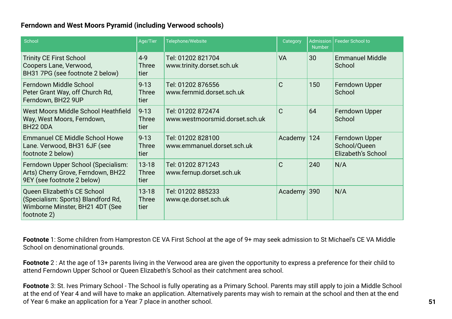#### **Ferndown and West Moors Pyramid (including Verwood schools)**

| School                                                                                                              | Age/Tier                          | Telephone/Website                                        | Category     | <b>Number</b> | Admission   Feeder School to                         |
|---------------------------------------------------------------------------------------------------------------------|-----------------------------------|----------------------------------------------------------|--------------|---------------|------------------------------------------------------|
| <b>Trinity CE First School</b><br>Coopers Lane, Verwood,<br>BH31 7PG (see footnote 2 below)                         | $4 - 9$<br><b>Three</b><br>tier   | Tel: 01202 821704<br>www.trinity.dorset.sch.uk           | <b>VA</b>    | 30            | <b>Emmanuel Middle</b><br>School                     |
| Ferndown Middle School<br>Peter Grant Way, off Church Rd,<br>Ferndown, BH22 9UP                                     | $9 - 13$<br><b>Three</b><br>tier  | Tel: 01202 876556<br>www.fernmid.dorset.sch.uk           | $\mathsf{C}$ | 150           | Ferndown Upper<br>School                             |
| West Moors Middle School Heathfield<br>Way, West Moors, Ferndown,<br><b>BH22 0DA</b>                                | $9 - 13$<br><b>Three</b><br>tier  | Tel: 01202 872474<br>www.westmoorsmid.dorset.sch.uk      | $\mathsf{C}$ | 64            | Ferndown Upper<br>School                             |
| <b>Emmanuel CE Middle School Howe</b><br>Lane. Verwood, BH31 6JF (see<br>footnote 2 below)                          | $9 - 13$<br><b>Three</b><br>tier  | Tel: 01202 828100<br>www.emmanuel.dorset.sch.uk          | Academy      | 124           | Ferndown Upper<br>School/Queen<br>Elizabeth's School |
| Ferndown Upper School (Specialism:<br>Arts) Cherry Grove, Ferndown, BH22<br>9EY (see footnote 2 below)              | $13 - 18$<br><b>Three</b><br>tier | Tel: 01202 871243<br>www.fernup.dorset.sch.uk            | $\mathsf C$  | 240           | N/A                                                  |
| Queen Elizabeth's CE School<br>(Specialism: Sports) Blandford Rd,<br>Wimborne Minster, BH21 4DT (See<br>footnote 2) | $13 - 18$<br><b>Three</b><br>tier | Tel: 01202 885233<br>Academy 390<br>www.qe.dorset.sch.uk |              |               | N/A                                                  |

**Footnote** 1: Some children from Hampreston CE VA First School at the age of 9+ may seek admission to St Michael's CE VA Middle School on denominational grounds.

**Footnote** 2 : At the age of 13+ parents living in the Verwood area are given the opportunity to express a preference for their child to attend Ferndown Upper School or Queen Elizabeth's School as their catchment area school.

**Footnote** 3: St. Ives Primary School - The School is fully operating as a Primary School. Parents may still apply to join a Middle School at the end of Year 4 and will have to make an application. Alternatively parents may wish to remain at the school and then at the end of Year 6 make an application for a Year 7 place in another school.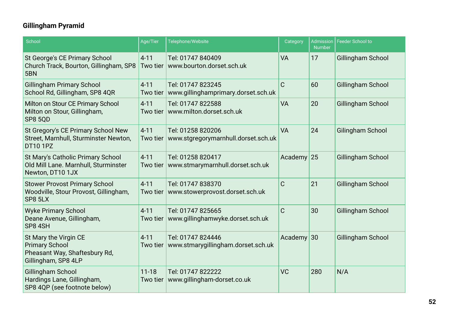### **Gillingham Pyramid**

| School                                                                                                 | Age/Tier              | Telephone/Website                                                   | Category       | <b>Number</b> | Admission   Feeder School to |
|--------------------------------------------------------------------------------------------------------|-----------------------|---------------------------------------------------------------------|----------------|---------------|------------------------------|
| St George's CE Primary School<br>Church Track, Bourton, Gillingham, SP8<br>5BN                         | $4 - 11$<br>Two tier  | Tel: 01747 840409<br>www.bourton.dorset.sch.uk                      | <b>VA</b>      | 17            | Gillingham School            |
| <b>Gillingham Primary School</b><br>School Rd, Gillingham, SP8 4QR                                     | $4 - 11$<br>Two tier  | Tel: 01747 823245<br>www.gillinghamprimary.dorset.sch.uk            | $\overline{C}$ | 60            | <b>Gillingham School</b>     |
| Milton on Stour CE Primary School<br>Milton on Stour, Gillingham,<br><b>SP8 5QD</b>                    | $4 - 11$<br>Two tier  | Tel: 01747 822588<br>www.milton.dorset.sch.uk                       | <b>VA</b>      | 20            | Gillingham School            |
| St Gregory's CE Primary School New<br>Street, Marnhull, Sturminster Newton,<br><b>DT10 1PZ</b>         | $4 - 11$              | Tel: 01258 820206<br>Two tier   www.stgregorymarnhull.dorset.sch.uk | <b>VA</b>      | 24            | Gilingham School             |
| St Mary's Catholic Primary School<br>Old Mill Lane. Marnhull, Sturminster<br>Newton, DT10 1JX          | $4 - 11$<br>Two tier  | Tel: 01258 820417<br>www.stmarymarnhull.dorset.sch.uk               | Academy $25$   |               | Gillingham School            |
| <b>Stower Provost Primary School</b><br>Woodville, Stour Provost, Gillingham,<br>SP8 5LX               | $4 - 11$<br>Two tier  | Tel: 01747 838370<br>www.stowerprovost.dorset.sch.uk                | $\mathsf C$    | 21            | Gillingham School            |
| <b>Wyke Primary School</b><br>Deane Avenue, Gillingham,<br>SP8 4SH                                     | $4 - 11$<br>Two tier  | Tel: 01747 825665<br>www.gillinghamwyke.dorset.sch.uk               | C              | 30            | Gillingham School            |
| St Mary the Virgin CE<br><b>Primary School</b><br>Pheasant Way, Shaftesbury Rd,<br>Gillingham, SP8 4LP | $4 - 11$<br>Two tier  | Tel: 01747 824446<br>www.stmarygillingham.dorset.sch.uk             | Academy $30$   |               | Gillingham School            |
| Gillingham School<br>Hardings Lane, Gillingham,<br>SP8 4QP (see footnote below)                        | $11 - 18$<br>Two tier | Tel: 01747 822222<br>www.gillingham-dorset.co.uk                    | <b>VC</b>      | 280           | N/A                          |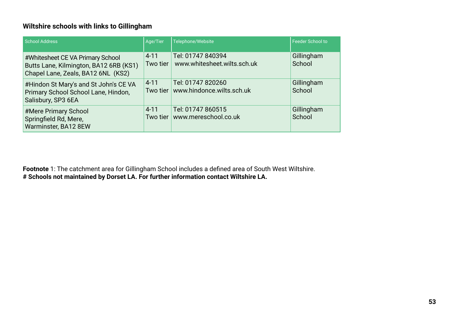#### **Wiltshire schools with links to Gillingham**

| School Address                                                                                                   | Age/Tier                 | Telephone/Website                                | Feeder School to     |
|------------------------------------------------------------------------------------------------------------------|--------------------------|--------------------------------------------------|----------------------|
| #Whitesheet CE VA Primary School<br>Butts Lane, Kilmington, BA12 6RB (KS1)<br>Chapel Lane, Zeals, BA12 6NL (KS2) | $4 - 11$<br>Two tier     | Tel: 01747 840394<br>www.whitesheet.wilts.sch.uk | Gillingham<br>School |
| #Hindon St Mary's and St John's CE VA<br>Primary School School Lane, Hindon,<br>Salisbury, SP3 6EA               | $4 - 11$<br>Two tier $ $ | Tel: 01747 820260<br>www.hindonce.wilts.sch.uk   | Gillingham<br>School |
| #Mere Primary School<br>Springfield Rd, Mere,<br>Warminster, BA12 8EW                                            | $4 - 11$<br>Two tier     | Tel: 01747 860515<br>www.mereschool.co.uk        | Gillingham<br>School |

**Footnote** 1: The catchment area for Gillingham School includes a defined area of South West Wiltshire. **# Schools not maintained by Dorset LA. For further information contact Wiltshire LA.**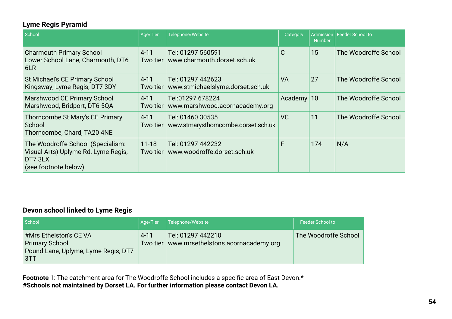### **Lyme Regis Pyramid**

| School                                                                                                      | Age/Tier              | Telephone/Website                                       | Category     | <b>Number</b> | Admission   Feeder School to |
|-------------------------------------------------------------------------------------------------------------|-----------------------|---------------------------------------------------------|--------------|---------------|------------------------------|
| <b>Charmouth Primary School</b><br>Lower School Lane, Charmouth, DT6<br>6LR                                 | $4 - 11$<br>Two tier  | Tel: 01297 560591<br>www.charmouth.dorset.sch.uk        | $\mathsf{C}$ | 15            | The Woodroffe School         |
| St Michael's CE Primary School<br>Kingsway, Lyme Regis, DT7 3DY                                             | $4 - 11$<br>Two tier  | Tel: 01297 442623<br>www.stmichaelslyme.dorset.sch.uk   | <b>VA</b>    | 27            | The Woodroffe School         |
| Marshwood CE Primary School<br>Marshwood, Bridport, DT6 5QA                                                 | $4 - 11$<br>Two tier  | Tel:01297 678224<br>www.marshwood.acornacademy.org      | Academy 10   |               | The Woodroffe School         |
| Thorncombe St Mary's CE Primary<br>School<br>Thorncombe, Chard, TA20 4NE                                    | $4 - 11$<br>Two tier  | Tel: 01460 30535<br>www.stmarysthorncombe.dorset.sch.uk | <b>VC</b>    | 11            | The Woodroffe School         |
| The Woodroffe School (Specialism:<br>Visual Arts) Uplyme Rd, Lyme Regis,<br>DT7 3LX<br>(see footnote below) | $11 - 18$<br>Two tier | Tel: 01297 442232<br>www.woodroffe.dorset.sch.uk        | F            | 174           | N/A                          |

### **Devon school linked to Lyme Regis**

| School                                                                                         | Aae/Tier | Telephone/Website                                                  | Feeder School to     |
|------------------------------------------------------------------------------------------------|----------|--------------------------------------------------------------------|----------------------|
| #Mrs Ethelston's CE VA<br><b>Primary School</b><br>Pound Lane, Uplyme, Lyme Regis, DT7<br>I3TT | $4 - 11$ | Tel: 01297 442210<br>Two tier   www.mrsethelstons.acornacademy.org | The Woodroffe School |

**Footnote** 1: The catchment area for The Woodroffe School includes a specific area of East Devon.\* **#Schools not maintained by Dorset LA. For further information please contact Devon LA.**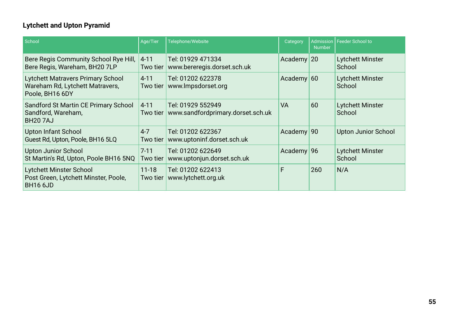### **Lytchett and Upton Pyramid**

| School                                                                                         | Age/Tier                 | Telephone/Website                                                 | Category              | <b>Number</b> | Admission   Feeder School to      |
|------------------------------------------------------------------------------------------------|--------------------------|-------------------------------------------------------------------|-----------------------|---------------|-----------------------------------|
| Bere Regis Community School Rye Hill,<br>Bere Regis, Wareham, BH20 7LP                         | $4 - 11$<br>Two tier $ $ | Tel: 01929 471334<br>www.bereregis.dorset.sch.uk                  | Academy 20            |               | <b>Lytchett Minster</b><br>School |
| <b>Lytchett Matravers Primary School</b><br>Wareham Rd, Lytchett Matravers,<br>Poole, BH16 6DY | $4 - 11$<br>Two tier $ $ | Tel: 01202 622378<br>www.lmpsdorset.org                           | Academy $60$          |               | <b>Lytchett Minster</b><br>School |
| Sandford St Martin CE Primary School<br>Sandford, Wareham,<br><b>BH207AJ</b>                   | $4 - 11$                 | Tel: 01929 552949<br>Two tier   www.sandfordprimary.dorset.sch.uk | <b>VA</b>             | 60            | <b>Lytchett Minster</b><br>School |
| <b>Upton Infant School</b><br>Guest Rd, Upton, Poole, BH16 5LQ                                 | $4 - 7$<br>Two tier $ $  | Tel: 01202 622367<br>www.uptoninf.dorset.sch.uk                   | Academy 90            |               | <b>Upton Junior School</b>        |
| Upton Junior School<br>St Martin's Rd, Upton, Poole BH16 5NQ                                   | $7 - 11$<br>Two tier     | Tel: 01202 622649<br>www.uptonjun.dorset.sch.uk                   | Academy <sup>96</sup> |               | <b>Lytchett Minster</b><br>School |
| <b>Lytchett Minster School</b><br>Post Green, Lytchett Minster, Poole,<br><b>BH16 6JD</b>      | $11 - 18$<br>Two tier    | Tel: 01202 622413<br>www.lytchett.org.uk                          | F                     | 260           | N/A                               |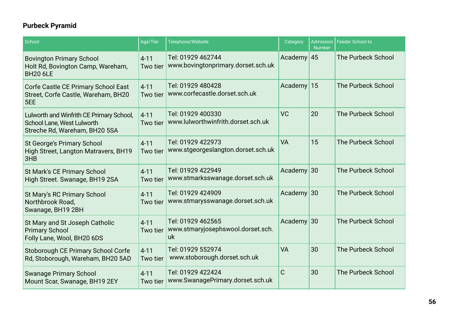### **Purbeck Pyramid**

| School                                                                                                  | Age/Tier             | Telephone/Website                                            | Category      | <b>Number</b> | Admission   Feeder School to |
|---------------------------------------------------------------------------------------------------------|----------------------|--------------------------------------------------------------|---------------|---------------|------------------------------|
| <b>Bovington Primary School</b><br>Holt Rd, Bovington Camp, Wareham,<br><b>BH20 6LE</b>                 | $4 - 11$<br>Two tier | Tel: 01929 462744<br>www.bovingtonprimary.dorset.sch.uk      | Academy $ 45$ |               | The Purbeck School           |
| Corfe Castle CE Primary School East<br>Street, Corfe Castle, Wareham, BH20<br>5EE                       | $4 - 11$<br>Two tier | Tel: 01929 480428<br>www.corfecastle.dorset.sch.uk           | Academy       | 15            | The Purbeck School           |
| Lulworth and Winfrith CE Primary School,<br>School Lane, West Lulworth<br>Streche Rd, Wareham, BH20 5SA | $4 - 11$<br>Two tier | Tel: 01929 400330<br>www.lulworthwinfrith.dorset.sch.uk      | <b>VC</b>     | 20            | The Purbeck School           |
| <b>St George's Primary School</b><br>High Street, Langton Matravers, BH19<br>3HB                        | $4 - 11$<br>Two tier | Tel: 01929 422973<br>www.stgeorgeslangton.dorset.sch.uk      | <b>VA</b>     | 15            | The Purbeck School           |
| <b>St Mark's CE Primary School</b><br>High Street. Swanage, BH19 2SA                                    | $4 - 11$<br>Two tier | Tel: 01929 422949<br>www.stmarksswanage.dorset.sch.uk        | Academy $30$  |               | The Purbeck School           |
| St Mary's RC Primary School<br>Northbrook Road,<br>Swanage, BH19 2BH                                    | $4 - 11$<br>Two tier | Tel: 01929 424909<br>www.stmarysswanage.dorset.sch.uk        | Academy 30    |               | The Purbeck School           |
| St Mary and St Joseph Catholic<br><b>Primary School</b><br>Folly Lane, Wool, BH20 6DS                   | $4 - 11$<br>Two tier | Tel: 01929 462565<br>www.stmaryjosephswool.dorset.sch.<br>uk | Academy $30$  |               | <b>The Purbeck School</b>    |
| Stoborough CE Primary School Corfe<br>Rd, Stoborough, Wareham, BH20 5AD                                 | $4 - 11$<br>Two tier | Tel: 01929 552974<br>www.stoborough.dorset.sch.uk            | <b>VA</b>     | 30            | <b>The Purbeck School</b>    |
| <b>Swanage Primary School</b><br>Mount Scar, Swanage, BH19 2EY                                          | $4 - 11$<br>Two tier | Tel: 01929 422424<br>www.SwanagePrimary.dorset.sch.uk        | $\mathsf{C}$  | 30            | The Purbeck School           |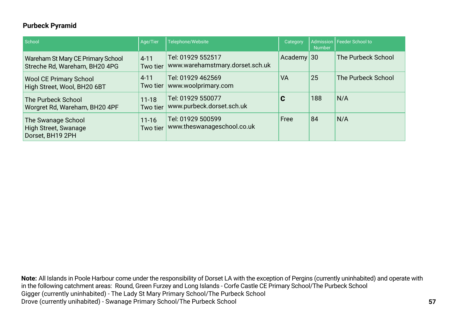#### **Purbeck Pyramid**

| School                                                                | Age/Tier              | Telephone/Website                                    | Category     | <b>Number</b> | <b>Admission Feeder School to</b> |
|-----------------------------------------------------------------------|-----------------------|------------------------------------------------------|--------------|---------------|-----------------------------------|
| Wareham St Mary CE Primary School<br>Streche Rd, Wareham, BH20 4PG    | $4 - 11$<br>Two tier  | Tel: 01929 552517<br>www.warehamstmary.dorset.sch.uk | Academy $30$ |               | The Purbeck School                |
| <b>Wool CE Primary School</b><br>High Street, Wool, BH20 6BT          | $4 - 11$              | Tel: 01929 462569<br>Two tier   www.woolprimary.com  | <b>VA</b>    | 25            | The Purbeck School                |
| The Purbeck School<br>Worgret Rd, Wareham, BH20 4PF                   | $11 - 18$<br>Two tier | Tel: 01929 550077<br>www.purbeck.dorset.sch.uk       | C            | 188           | N/A                               |
| The Swanage School<br><b>High Street, Swanage</b><br>Dorset, BH19 2PH | $11 - 16$<br>Two tier | Tel: 01929 500599<br>www.theswanageschool.co.uk      | Free         | 84            | N/A                               |

**Note:** All Islands in Poole Harbour come under the responsibility of Dorset LA with the exception of Pergins (currently uninhabited) and operate with in the following catchment areas: Round, Green Furzey and Long Islands - Corfe Castle CE Primary School/The Purbeck School Gigger (currently uninhabited) - The Lady St Mary Primary School/The Purbeck School Drove (currently unihabited) - Swanage Primary School/The Purbeck School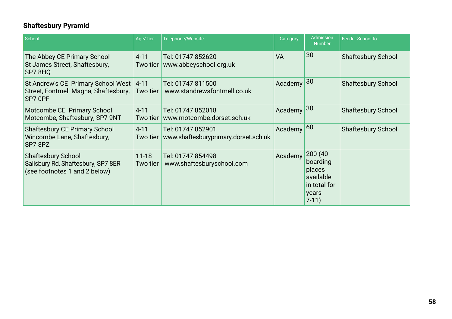### **Shaftesbury Pyramid**

| School                                                                                           | Age/Tier              | Telephone/Website                                         | Category  | Admission<br><b>Number</b>                                                     | <b>Feeder School to</b>   |
|--------------------------------------------------------------------------------------------------|-----------------------|-----------------------------------------------------------|-----------|--------------------------------------------------------------------------------|---------------------------|
| The Abbey CE Primary School<br>St James Street, Shaftesbury,<br>SP78HQ                           | $4 - 11$<br>Two tier  | Tel: 01747 852620<br>www.abbeyschool.org.uk               | <b>VA</b> | 30                                                                             | <b>Shaftesbury School</b> |
| St Andrew's CE Primary School West<br>Street, Fontmell Magna, Shaftesbury,<br>SP7 OPF            | $4 - 11$<br>Two tier  | Tel: 01747 811500<br>www.standrewsfontmell.co.uk          | Academy   | 30                                                                             | <b>Shaftesbury School</b> |
| Motcombe CE Primary School<br>Motcombe, Shaftesbury, SP7 9NT                                     | $4 - 11$<br>Two tier  | Tel: 01747 852018<br>www.motcombe.dorset.sch.uk           | Academy   | 30                                                                             | <b>Shaftesbury School</b> |
| <b>Shaftesbury CE Primary School</b><br>Wincombe Lane, Shaftesbury,<br>SP78PZ                    | $4 - 11$<br>Two tier  | Tel: 01747 852901<br>www.shaftesburyprimary.dorset.sch.uk | Academy   | 60                                                                             | <b>Shaftesbury School</b> |
| <b>Shaftesbury School</b><br>Salisbury Rd, Shaftesbury, SP7 8ER<br>(see footnotes 1 and 2 below) | $11 - 18$<br>Two tier | Tel: 01747 854498<br>www.shaftesburyschool.com            | Academy   | 200 (40<br>boarding<br>places<br>available<br>in total for<br>years<br>$7-11)$ |                           |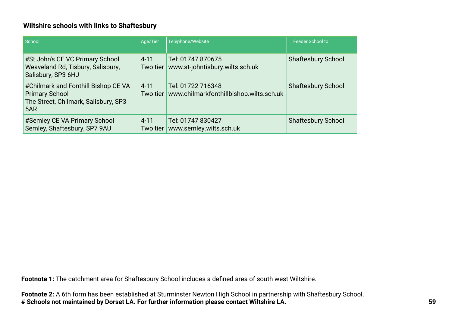#### **Wiltshire schools with links to Shaftesbury**

| School                                                                                                      | Age/Tier             | Telephone/Website                                            | <b>Feeder School to</b>   |
|-------------------------------------------------------------------------------------------------------------|----------------------|--------------------------------------------------------------|---------------------------|
| #St John's CE VC Primary School<br><b>Weaveland Rd, Tisbury, Salisbury,</b><br>Salisbury, SP3 6HJ           | $4 - 11$<br>Two tier | Tel: 01747 870675<br>www.st-johntisbury.wilts.sch.uk         | <b>Shaftesbury School</b> |
| #Chilmark and Fonthill Bishop CE VA<br><b>Primary School</b><br>The Street, Chilmark, Salisbury, SP3<br>5AR | $4 - 11$<br>Two tier | Tel: 01722 716348<br>www.chilmarkfonthillbishop.wilts.sch.uk | <b>Shaftesbury School</b> |
| #Semley CE VA Primary School<br>Semley, Shaftesbury, SP7 9AU                                                | $4 - 11$<br>Two tier | Tel: 01747 830427<br>www.semley.wilts.sch.uk                 | <b>Shaftesbury School</b> |

**Footnote 1:** The catchment area for Shaftesbury School includes a defined area of south west Wiltshire.

**Footnote 2:** A 6th form has been established at Sturminster Newton High School in partnership with Shaftesbury School. **# Schools not maintained by Dorset LA. For further information please contact Wiltshire LA.**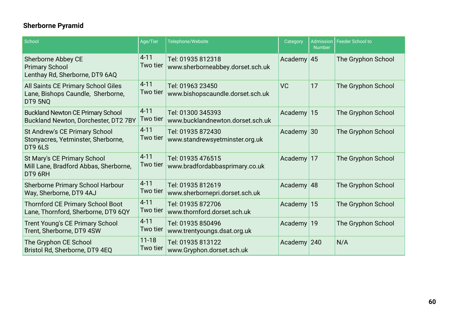### **Sherborne Pyramid**

| School                                                                             | Age/Tier              | Telephone/Website                                     | Category      | <b>Number</b> | Admission   Feeder School to |
|------------------------------------------------------------------------------------|-----------------------|-------------------------------------------------------|---------------|---------------|------------------------------|
| Sherborne Abbey CE<br><b>Primary School</b><br>Lenthay Rd, Sherborne, DT9 6AQ      | $4 - 11$<br>Two tier  | Tel: 01935 812318<br>www.sherborneabbey.dorset.sch.uk | Academy $45$  |               | The Gryphon School           |
| All Saints CE Primary School Giles<br>Lane, Bishops Caundle, Sherborne,<br>DT9 5NQ | $4 - 11$<br>Two tier  | Tel: 01963 23450<br>www.bishopscaundle.dorset.sch.uk  | <b>VC</b>     | 17            | The Gryphon School           |
| <b>Buckland Newton CE Primary School</b><br>Buckland Newton, Dorchester, DT2 7BY   | $4 - 11$<br>Two tier  | Tel: 01300 345393<br>www.bucklandnewton.dorset.sch.uk | Academy $15$  |               | The Gryphon School           |
| St Andrew's CE Primary School<br>Stonyacres, Yetminster, Sherborne,<br>DT9 6LS     | $4 - 11$<br>Two tier  | Tel: 01935 872430<br>www.standrewsyetminster.org.uk   | Academy $30$  |               | The Gryphon School           |
| St Mary's CE Primary School<br>Mill Lane, Bradford Abbas, Sherborne,<br>DT9 6RH    | $4 - 11$<br>Two tier  | Tel: 01935 476515<br>www.bradfordabbasprimary.co.uk   | Academy $17$  |               | The Gryphon School           |
| <b>Sherborne Primary School Harbour</b><br>Way, Sherborne, DT9 4AJ                 | $4 - 11$<br>Two tier  | Tel: 01935 812619<br>www.sherbornepri.dorset.sch.uk   | Academy $ 48$ |               | The Gryphon School           |
| <b>Thornford CE Primary School Boot</b><br>Lane, Thornford, Sherborne, DT9 6QY     | $4 - 11$<br>Two tier  | Tel: 01935 872706<br>www.thornford.dorset.sch.uk      | Academy $15$  |               | The Gryphon School           |
| <b>Trent Young's CE Primary School</b><br>Trent, Sherborne, DT9 4SW                | $4 - 11$<br>Two tier  | Tel: 01935 850496<br>www.trentyoungs.dsat.org.uk      | Academy $19$  |               | The Gryphon School           |
| The Gryphon CE School<br>Bristol Rd, Sherborne, DT9 4EQ                            | $11 - 18$<br>Two tier | Tel: 01935 813122<br>www.Gryphon.dorset.sch.uk        | Academy 240   |               | N/A                          |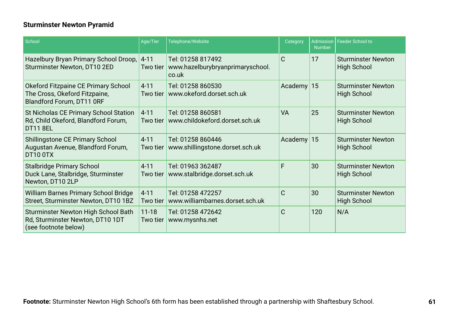### **Sturminster Newton Pyramid**

| School                                                                                                   | Age/Tier              | Telephone/Website                                              | Category     | <b>Number</b> | Admission   Feeder School to                    |
|----------------------------------------------------------------------------------------------------------|-----------------------|----------------------------------------------------------------|--------------|---------------|-------------------------------------------------|
| Hazelbury Bryan Primary School Droop,<br>Sturminster Newton, DT10 2ED                                    | $4 - 11$<br>Two tier  | Tel: 01258 817492<br>www.hazelburybryanprimaryschool.<br>co.uk | C            | 17            | <b>Sturminster Newton</b><br><b>High School</b> |
| Okeford Fitzpaine CE Primary School<br>The Cross, Okeford Fitzpaine,<br><b>Blandford Forum, DT11 ORF</b> | $4 - 11$<br>Two tier  | Tel: 01258 860530<br>www.okeford.dorset.sch.uk                 | Academy      | 15            | <b>Sturminster Newton</b><br><b>High School</b> |
| St Nicholas CE Primary School Station<br>Rd, Child Okeford, Blandford Forum,<br><b>DT11 8EL</b>          | $4 - 11$<br>Two tier  | Tel: 01258 860581<br>www.childokeford.dorset.sch.uk            | <b>VA</b>    | 25            | <b>Sturminster Newton</b><br><b>High School</b> |
| <b>Shillingstone CE Primary School</b><br>Augustan Avenue, Blandford Forum,<br>DT10 0TX                  | $4 - 11$<br>Two tier  | Tel: 01258 860446<br>www.shillingstone.dorset.sch.uk           | Academy $15$ |               | <b>Sturminster Newton</b><br><b>High School</b> |
| <b>Stalbridge Primary School</b><br>Duck Lane, Stalbridge, Sturminster<br>Newton, DT10 2LP               | $4 - 11$<br>Two tier  | Tel: 01963 362487<br>www.stalbridge.dorset.sch.uk              | F            | 30            | <b>Sturminster Newton</b><br><b>High School</b> |
| <b>William Barnes Primary School Bridge</b><br>Street, Sturminster Newton, DT10 1BZ                      | $4 - 11$<br>Two tier  | Tel: 01258 472257<br>www.williambarnes.dorset.sch.uk           | $\mathsf{C}$ | 30            | <b>Sturminster Newton</b><br><b>High School</b> |
| <b>Sturminster Newton High School Bath</b><br>Rd, Sturminster Newton, DT10 1DT<br>(see footnote below)   | $11 - 18$<br>Two tier | Tel: 01258 472642<br>www.mysnhs.net                            | $\mathsf{C}$ | 120           | N/A                                             |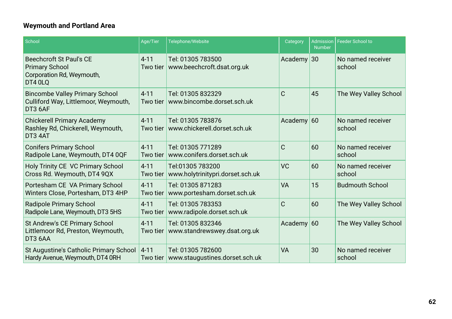### **Weymouth and Portland Area**

| School                                                                                          | Age/Tier             | Telephone/Website                                    | Category     | <b>Number</b> | Admission   Feeder School to |
|-------------------------------------------------------------------------------------------------|----------------------|------------------------------------------------------|--------------|---------------|------------------------------|
| <b>Beechcroft St Paul's CE</b><br><b>Primary School</b><br>Corporation Rd, Weymouth,<br>DT4 0LQ | $4 - 11$<br>Two tier | Tel: 01305 783500<br>www.beechcroft.dsat.org.uk      | Academy $30$ |               | No named receiver<br>school  |
| <b>Bincombe Valley Primary School</b><br>Culliford Way, Littlemoor, Weymouth,<br>DT3 6AF        | $4 - 11$<br>Two tier | Tel: 01305 832329<br>www.bincombe.dorset.sch.uk      | $\mathsf{C}$ | 45            | The Wey Valley School        |
| <b>Chickerell Primary Academy</b><br>Rashley Rd, Chickerell, Weymouth,<br>DT3 4AT               | $4 - 11$<br>Two tier | Tel: 01305 783876<br>www.chickerell.dorset.sch.uk    | Academy $60$ |               | No named receiver<br>school  |
| <b>Conifers Primary School</b><br>Radipole Lane, Weymouth, DT4 0QF                              | $4 - 11$<br>Two tier | Tel: 01305 771289<br>www.conifers.dorset.sch.uk      | C            | 60            | No named receiver<br>school  |
| Holy Trinity CE VC Primary School<br>Cross Rd. Weymouth, DT4 9QX                                | $4 - 11$<br>Two tier | Tel:01305 783200<br>www.holytrinitypri.dorset.sch.uk | <b>VC</b>    | 60            | No named receiver<br>school  |
| Portesham CE VA Primary School<br>Winters Close, Portesham, DT3 4HP                             | $4 - 11$<br>Two tier | Tel: 01305 871283<br>www.portesham.dorset.sch.uk     | <b>VA</b>    | 15            | <b>Budmouth School</b>       |
| <b>Radipole Primary School</b><br>Radipole Lane, Weymouth, DT3 5HS                              | $4 - 11$<br>Two tier | Tel: 01305 783353<br>www.radipole.dorset.sch.uk      | $\mathsf C$  | 60            | The Wey Valley School        |
| St Andrew's CE Primary School<br>Littlemoor Rd, Preston, Weymouth,<br>DT3 6AA                   | $4 - 11$<br>Two tier | Tel: 01305 832346<br>www.standrewswey.dsat.org.uk    | Academy $60$ |               | The Wey Valley School        |
| St Augustine's Catholic Primary School<br>Hardy Avenue, Weymouth, DT4 0RH                       | $4 - 11$<br>Two tier | Tel: 01305 782600<br>www.staugustines.dorset.sch.uk  | <b>VA</b>    | 30            | No named receiver<br>school  |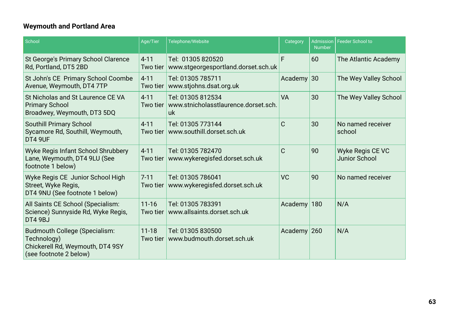### **Weymouth and Portland Area**

| School                                                                                                            | Age/Tier              | Telephone/Website                                                      | Category       | <b>Admission</b><br><b>Number</b> | Feeder School to                         |
|-------------------------------------------------------------------------------------------------------------------|-----------------------|------------------------------------------------------------------------|----------------|-----------------------------------|------------------------------------------|
| St George's Primary School Clarence<br>Rd, Portland, DT5 2BD                                                      | $4 - 11$<br>Two tier  | Tel: 01305 820520<br>www.stgeorgesportland.dorset.sch.uk               | F              | 60                                | The Atlantic Academy                     |
| St John's CE Primary School Coombe<br>Avenue, Weymouth, DT4 7TP                                                   | $4 - 11$<br>Two tier  | Tel: 01305 785711<br>www.stjohns.dsat.org.uk                           | Academy $30$   |                                   | The Wey Valley School                    |
| St Nicholas and St Laurence CE VA<br><b>Primary School</b><br>Broadwey, Weymouth, DT3 5DQ                         | $4 - 11$<br>Two tier  | Tel: 01305 812534<br>www.stnicholasstlaurence.dorset.sch.<br><u>uk</u> | VA             | 30                                | The Wey Valley School                    |
| <b>Southill Primary School</b><br>Sycamore Rd, Southill, Weymouth,<br>DT4 9UF                                     | $4 - 11$<br>Two tier  | Tel: 01305 773144<br>www.southill.dorset.sch.uk                        | $\overline{C}$ | 30                                | No named receiver<br>school              |
| Wyke Regis Infant School Shrubbery<br>Lane, Weymouth, DT4 9LU (See<br>footnote 1 below)                           | $4 - 11$<br>Two tier  | Tel: 01305 782470<br>www.wykeregisfed.dorset.sch.uk                    | C              | 90                                | Wyke Regis CE VC<br><b>Junior School</b> |
| Wyke Regis CE Junior School High<br>Street, Wyke Regis,<br>DT4 9NU (See footnote 1 below)                         | $7 - 11$<br>Two tier  | Tel: 01305 786041<br>www.wykeregisfed.dorset.sch.uk                    | <b>VC</b>      | 90                                | No named receiver                        |
| All Saints CE School (Specialism:<br>Science) Sunnyside Rd, Wyke Regis,<br>DT4 9BJ                                | $11 - 16$<br>Two tier | Tel: 01305 783391<br>www.allsaints.dorset.sch.uk                       | Academy        | 180                               | N/A                                      |
| <b>Budmouth College (Specialism:</b><br>Technology)<br>Chickerell Rd, Weymouth, DT4 9SY<br>(see footnote 2 below) | $11 - 18$<br>Two tier | Tel: 01305 830500<br>www.budmouth.dorset.sch.uk                        | Academy 260    |                                   | N/A                                      |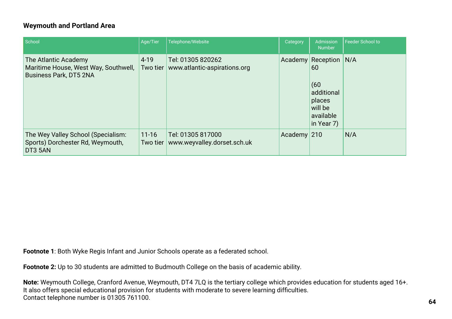#### **Weymouth and Portland Area**

| School                                                                                        | Age/Tier                  | Telephone/Website                                 | Category      | Admission<br><b>Number</b>                                                                   | <b>Feeder School to</b> |
|-----------------------------------------------------------------------------------------------|---------------------------|---------------------------------------------------|---------------|----------------------------------------------------------------------------------------------|-------------------------|
| The Atlantic Academy<br>Maritime House, West Way, Southwell,<br><b>Business Park, DT5 2NA</b> | $4 - 19$<br>Two tier      | Tel: 01305 820262<br>www.atlantic-aspirations.org | Academy       | <b>Reception</b><br>60<br>(60)<br>additional<br>places<br>will be<br>available<br>in Year 7) | N/A                     |
| The Wey Valley School (Specialism:<br>Sports) Dorchester Rd, Weymouth,<br>DT3 5AN             | $11 - 16$<br>Two tier $ $ | Tel: 01305 817000<br>www.weyvalley.dorset.sch.uk  | Academy $210$ |                                                                                              | N/A                     |

**Footnote 1**: Both Wyke Regis Infant and Junior Schools operate as a federated school.

**Footnote 2:** Up to 30 students are admitted to Budmouth College on the basis of academic ability.

**Note:** Weymouth College, Cranford Avenue, Weymouth, DT4 7LQ is the tertiary college which provides education for students aged 16+. It also offers special educational provision for students with moderate to severe learning difficulties. Contact telephone number is 01305 761100.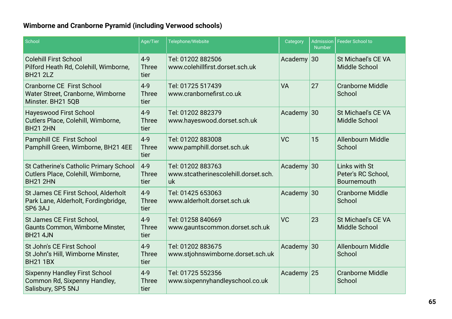### **Wimborne and Cranborne Pyramid (including Verwood schools)**

| School                                                                                          | Age/Tier                        | Telephone/Website                                                                    | Category        | <b>Admission</b><br><b>Number</b>   | <b>Feeder School to</b>                            |
|-------------------------------------------------------------------------------------------------|---------------------------------|--------------------------------------------------------------------------------------|-----------------|-------------------------------------|----------------------------------------------------|
| <b>Colehill First School</b><br>Pilford Heath Rd, Colehill, Wimborne,<br><b>BH21 2LZ</b>        | $4 - 9$<br><b>Three</b><br>tier | Tel: 01202 882506<br>www.colehillfirst.dorset.sch.uk                                 | 30<br>Academy   |                                     | St Michael's CE VA<br><b>Middle School</b>         |
| <b>Cranborne CE First School</b><br>Water Street, Cranborne, Wimborne<br>Minster. BH21 5QB      | $4 - 9$<br><b>Three</b><br>tier | <b>VA</b><br>Tel: 01725 517439<br>www.cranbornefirst.co.uk                           |                 | 27                                  | <b>Cranborne Middle</b><br>School                  |
| <b>Hayeswood First School</b><br>Cutlers Place, Colehill, Wimborne,<br><b>BH21 2HN</b>          | $4 - 9$<br><b>Three</b><br>tier | Academy<br>Tel: 01202 882379<br>30<br>www.hayeswood.dorset.sch.uk                    |                 | St Michael's CE VA<br>Middle School |                                                    |
| Pamphill CE First School<br>Pamphill Green, Wimborne, BH21 4EE                                  | $4 - 9$<br><b>Three</b><br>tier | <b>VC</b><br>15<br>Tel: 01202 883008<br>www.pamphill.dorset.sch.uk                   |                 | Allenbourn Middle<br>School         |                                                    |
| St Catherine's Catholic Primary School<br>Cutlers Place, Colehill, Wimborne,<br><b>BH21 2HN</b> | $4 - 9$<br><b>Three</b><br>tier | Academy 30<br>Tel: 01202 883763<br>www.stcatherinescolehill.dorset.sch.<br><b>uk</b> |                 |                                     | Links with St<br>Peter's RC School,<br>Bournemouth |
| St James CE First School, Alderholt<br>Park Lane, Alderholt, Fordingbridge,<br>SP6 3AJ          | $4 - 9$<br><b>Three</b><br>tier | Tel: 01425 653063<br>www.alderholt.dorset.sch.uk                                     | Academy<br>30   |                                     | <b>Cranborne Middle</b><br>School                  |
| St James CE First School,<br>Gaunts Common, Wimborne Minster,<br><b>BH21 4JN</b>                | $4 - 9$<br><b>Three</b><br>tier | Tel: 01258 840669<br>www.gauntscommon.dorset.sch.uk                                  | <b>VC</b><br>23 |                                     | St Michael's CE VA<br>Middle School                |
| St John's CE First School<br>St John"s Hill, Wimborne Minster,<br><b>BH21 1BX</b>               | $4 - 9$<br><b>Three</b><br>tier | Tel: 01202 883675<br>www.stjohnswimborne.dorset.sch.uk                               | Academy         | 30                                  | Allenbourn Middle<br>School                        |
| <b>Sixpenny Handley First School</b><br>Common Rd, Sixpenny Handley,<br>Salisbury, SP5 5NJ      | $4 - 9$<br><b>Three</b><br>tier | Tel: 01725 552356<br>www.sixpennyhandleyschool.co.uk                                 | Academy         | 25                                  | <b>Cranborne Middle</b><br>School                  |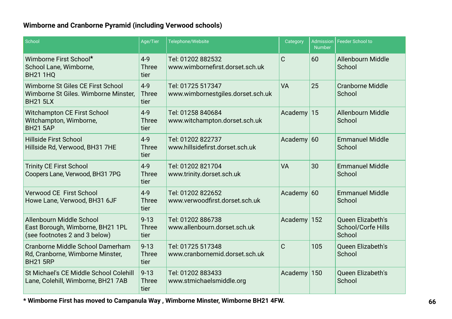### **Wimborne and Cranborne Pyramid (including Verwood schools)**

| School                                                                                        | Age/Tier                         | Telephone/Website<br>Category<br><b>Number</b>                             |                    | <b>Admission</b>                 | <b>Feeder School to</b>                                  |  |
|-----------------------------------------------------------------------------------------------|----------------------------------|----------------------------------------------------------------------------|--------------------|----------------------------------|----------------------------------------------------------|--|
| Wimborne First School*<br>School Lane, Wimborne,<br><b>BH21 1HQ</b>                           | $4 - 9$<br><b>Three</b><br>tier  | Tel: 01202 882532<br>www.wimbornefirst.dorset.sch.uk                       | $\mathsf{C}$<br>60 |                                  | Allenbourn Middle<br>School                              |  |
| Wimborne St Giles CE First School<br>Wimborne St Giles. Wimborne Minster,<br><b>BH21 5LX</b>  | $4 - 9$<br><b>Three</b><br>tier  | Tel: 01725 517347<br><b>VA</b><br>www.wimbornestgiles.dorset.sch.uk        |                    | 25                               | <b>Cranborne Middle</b><br>School                        |  |
| <b>Witchampton CE First School</b><br>Witchampton, Wimborne,<br><b>BH21 5AP</b>               | $4 - 9$<br><b>Three</b><br>tier  | Tel: 01258 840684<br>Academy<br>15<br>www.witchampton.dorset.sch.uk        |                    | Allenbourn Middle<br>School      |                                                          |  |
| <b>Hillside First School</b><br>Hillside Rd, Verwood, BH31 7HE                                | $4 - 9$<br><b>Three</b><br>tier  | Tel: 01202 822737<br>Academy $60$<br>www.hillsidefirst.dorset.sch.uk       |                    | <b>Emmanuel Middle</b><br>School |                                                          |  |
| <b>Trinity CE First School</b><br>Coopers Lane, Verwood, BH31 7PG                             | $4-9$<br><b>Three</b><br>tier    | 30<br>Tel: 01202 821704<br><b>VA</b><br>www.trinity.dorset.sch.uk          |                    |                                  | <b>Emmanuel Middle</b><br>School                         |  |
| <b>Verwood CE First School</b><br>Howe Lane, Verwood, BH31 6JF                                | $4 - 9$<br><b>Three</b><br>tier  | Tel: 01202 822652<br>www.verwoodfirst.dorset.sch.uk                        | Academy $60$       |                                  | <b>Emmanuel Middle</b><br>School                         |  |
| Allenbourn Middle School<br>East Borough, Wimborne, BH21 1PL<br>(see footnotes 2 and 3 below) | $9 - 13$<br><b>Three</b><br>tier | Tel: 01202 886738<br>www.allenbourn.dorset.sch.uk                          | Academy<br>152     |                                  | Queen Elizabeth's<br><b>School/Corfe Hills</b><br>School |  |
| Cranborne Middle School Damerham<br>Rd, Cranborne, Wimborne Minster,<br><b>BH21 5RP</b>       | $9 - 13$<br><b>Three</b><br>tier | $\mathsf{C}$<br>Tel: 01725 517348<br>105<br>www.cranbornemid.dorset.sch.uk |                    | Queen Elizabeth's<br>School      |                                                          |  |
| St Michael's CE Middle School Colehill<br>Lane, Colehill, Wimborne, BH21 7AB                  | $9 - 13$<br><b>Three</b><br>tier | Tel: 01202 883433<br>www.stmichaelsmiddle.org                              | Academy            | 150                              | <b>Oueen Elizabeth's</b><br>School                       |  |

**\* Wimborne First has moved to Campanula Way , Wimborne Minster, Wimborne BH21 4FW.**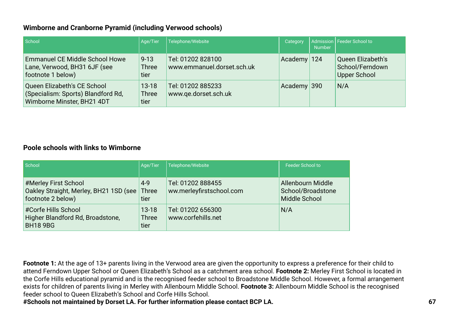#### **Wimborne and Cranborne Pyramid (including Verwood schools)**

| School                                                                                          | Age/Tier                          | Telephone/Website                               | Category      | <b>Number</b> | Admission   Feeder School to                                |
|-------------------------------------------------------------------------------------------------|-----------------------------------|-------------------------------------------------|---------------|---------------|-------------------------------------------------------------|
| <b>Emmanuel CE Middle School Howe</b><br>Lane, Verwood, BH31 6JF (see<br>footnote 1 below)      | $9 - 13$<br><b>Three</b><br>tier  | Tel: 01202 828100<br>www.emmanuel.dorset.sch.uk | Academy 124   |               | Queen Elizabeth's<br>School/Ferndown<br><b>Upper School</b> |
| Queen Elizabeth's CE School<br>(Specialism: Sports) Blandford Rd,<br>Wimborne Minster, BH21 4DT | $13 - 18$<br><b>Three</b><br>tier | Tel: 01202 885233<br>www.ge.dorset.sch.uk       | Academy $390$ |               | N/A                                                         |

#### **Poole schools with links to Wimborne**

| School                                                                              | Age/Tier                          | Telephone/Website                             | <b>Feeder School to</b>                                 |
|-------------------------------------------------------------------------------------|-----------------------------------|-----------------------------------------------|---------------------------------------------------------|
| #Merley First School<br>Oakley Straight, Merley, BH21 1SD (see<br>footnote 2 below) | $4 - 9$<br>Three<br>tier          | Tel: 01202 888455<br>ww.merleyfirstschool.com | Allenbourn Middle<br>School/Broadstone<br>Middle School |
| #Corfe Hills School<br>Higher Blandford Rd, Broadstone,<br><b>BH18 9BG</b>          | $13 - 18$<br><b>Three</b><br>tier | Tel: 01202 656300<br>www.corfehills.net       | N/A                                                     |

**Footnote 1:** At the age of 13+ parents living in the Verwood area are given the opportunity to express a preference for their child to attend Ferndown Upper School or Queen Elizabeth's School as a catchment area school. **Footnote 2:** Merley First School is located in the Corfe Hills educational pyramid and is the recognised feeder school to Broadstone Middle School. However, a formal arrangement exists for children of parents living in Merley with Allenbourn Middle School. **Footnote 3:** Allenbourn Middle School is the recognised feeder school to Queen Elizabeth's School and Corfe Hills School.

**#Schools not maintained by Dorset LA. For further information please contact BCP LA.**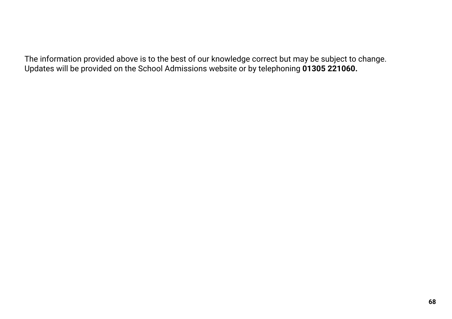The information provided above is to the best of our knowledge correct but may be subject to change. Updates will be provided on the School Admissions website or by telephoning **01305 221060.**